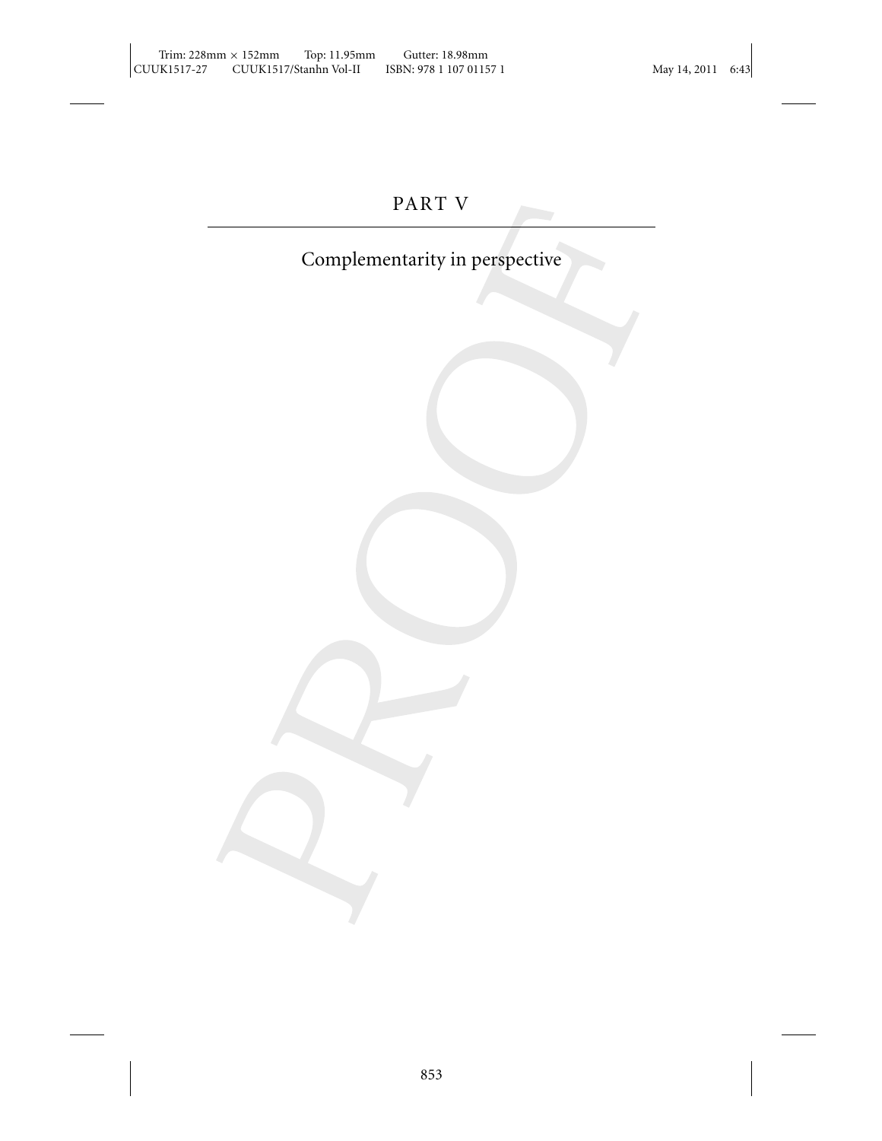# PART V

# Complementarity in perspective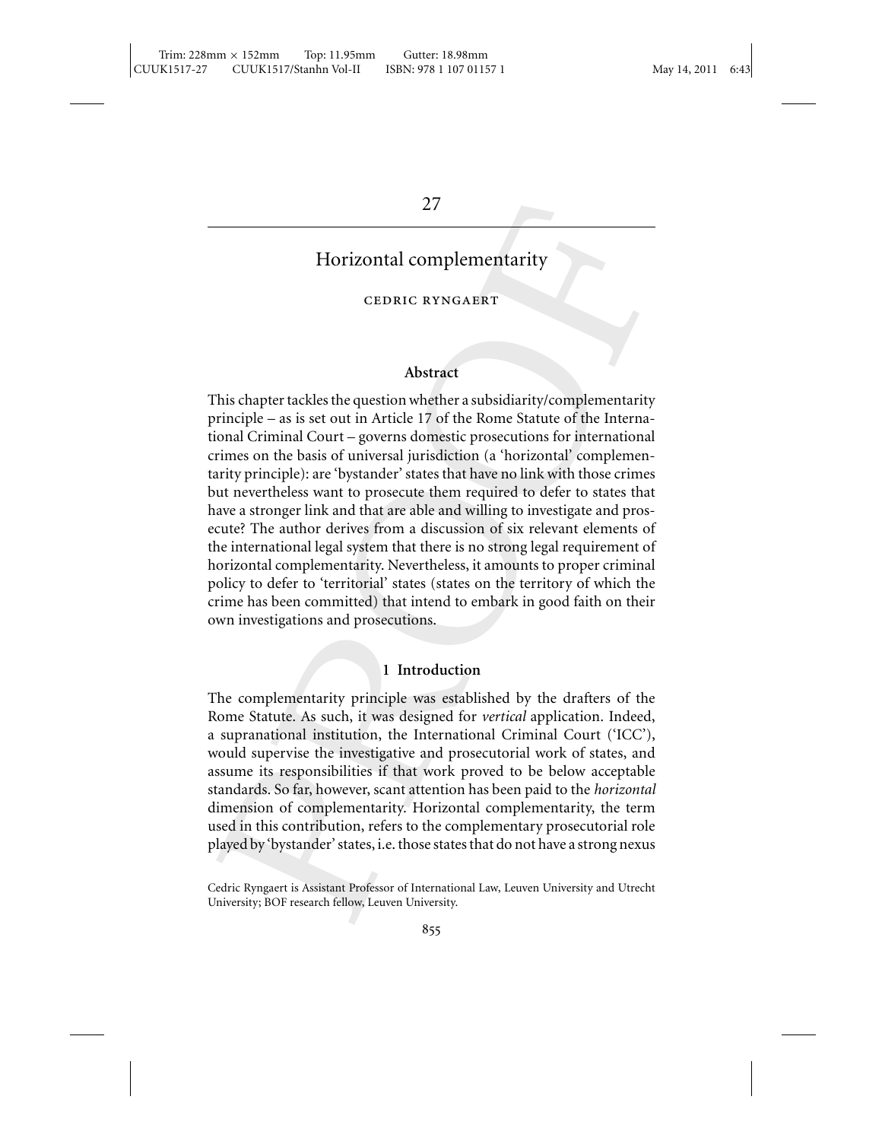# 27

# Horizontal complementarity

# cedric ryngaert

# **Abstract**

This chapter tackles the question whether a subsidiarity/complementarity principle – as is set out in Article 17 of the Rome Statute of the International Criminal Court – governs domestic prosecutions for international crimes on the basis of universal jurisdiction (a 'horizontal' complementarity principle): are 'bystander' states that have no link with those crimes but nevertheless want to prosecute them required to defer to states that have a stronger link and that are able and willing to investigate and prosecute? The author derives from a discussion of six relevant elements of the international legal system that there is no strong legal requirement of horizontal complementarity. Nevertheless, it amounts to proper criminal policy to defer to 'territorial' states (states on the territory of which the crime has been committed) that intend to embark in good faith on their own investigations and prosecutions.

### **1 Introduction**

The complementarity principle was established by the drafters of the Rome Statute. As such, it was designed for *vertical* application. Indeed, a supranational institution, the International Criminal Court ('ICC'), would supervise the investigative and prosecutorial work of states, and assume its responsibilities if that work proved to be below acceptable standards. So far, however, scant attention has been paid to the *horizontal* dimension of complementarity. Horizontal complementarity, the term used in this contribution, refers to the complementary prosecutorial role played by 'bystander' states, i.e. those states that do not have a strong nexus

Cedric Ryngaert is Assistant Professor of International Law, Leuven University and Utrecht University; BOF research fellow, Leuven University.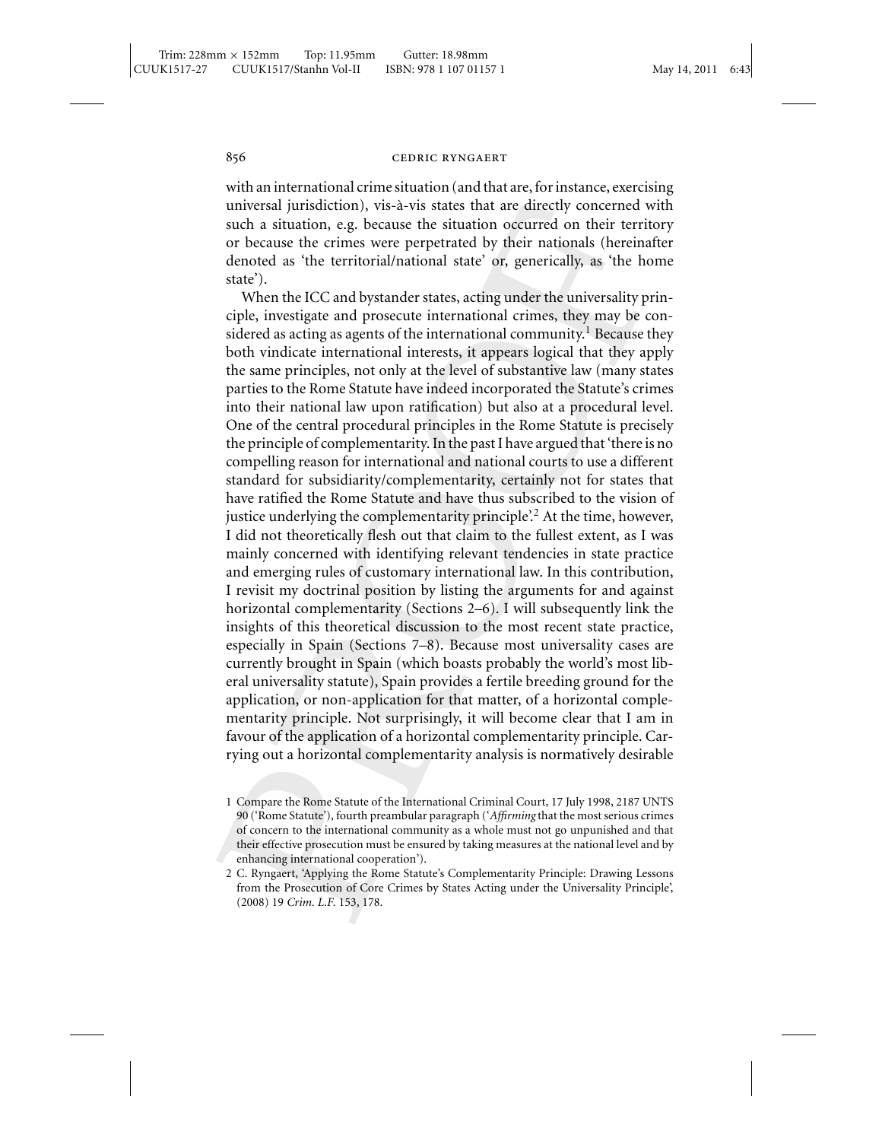with an international crime situation (and that are, for instance, exercising universal jurisdiction), vis-a-vis states that are directly concerned with ` such a situation, e.g. because the situation occurred on their territory or because the crimes were perpetrated by their nationals (hereinafter denoted as 'the territorial/national state' or, generically, as 'the home state').

When the ICC and bystander states, acting under the universality principle, investigate and prosecute international crimes, they may be considered as acting as agents of the international community.<sup>1</sup> Because they both vindicate international interests, it appears logical that they apply the same principles, not only at the level of substantive law (many states parties to the Rome Statute have indeed incorporated the Statute's crimes into their national law upon ratification) but also at a procedural level. One of the central procedural principles in the Rome Statute is precisely the principle of complementarity. In the past I have argued that 'there is no compelling reason for international and national courts to use a different standard for subsidiarity/complementarity, certainly not for states that have ratified the Rome Statute and have thus subscribed to the vision of justice underlying the complementarity principle.<sup>2</sup> At the time, however, I did not theoretically flesh out that claim to the fullest extent, as I was mainly concerned with identifying relevant tendencies in state practice and emerging rules of customary international law. In this contribution, I revisit my doctrinal position by listing the arguments for and against horizontal complementarity (Sections 2–6). I will subsequently link the insights of this theoretical discussion to the most recent state practice, especially in Spain (Sections 7–8). Because most universality cases are currently brought in Spain (which boasts probably the world's most liberal universality statute), Spain provides a fertile breeding ground for the application, or non-application for that matter, of a horizontal complementarity principle. Not surprisingly, it will become clear that I am in favour of the application of a horizontal complementarity principle. Carrying out a horizontal complementarity analysis is normatively desirable

<sup>1</sup> Compare the Rome Statute of the International Criminal Court, 17 July 1998, 2187 UNTS 90 ('Rome Statute'), fourth preambular paragraph ('*Affirming* that the most serious crimes of concern to the international community as a whole must not go unpunished and that their effective prosecution must be ensured by taking measures at the national level and by enhancing international cooperation').

<sup>2</sup> C. Ryngaert, 'Applying the Rome Statute's Complementarity Principle: Drawing Lessons from the Prosecution of Core Crimes by States Acting under the Universality Principle', (2008) 19 *Crim. L.F*. 153, 178.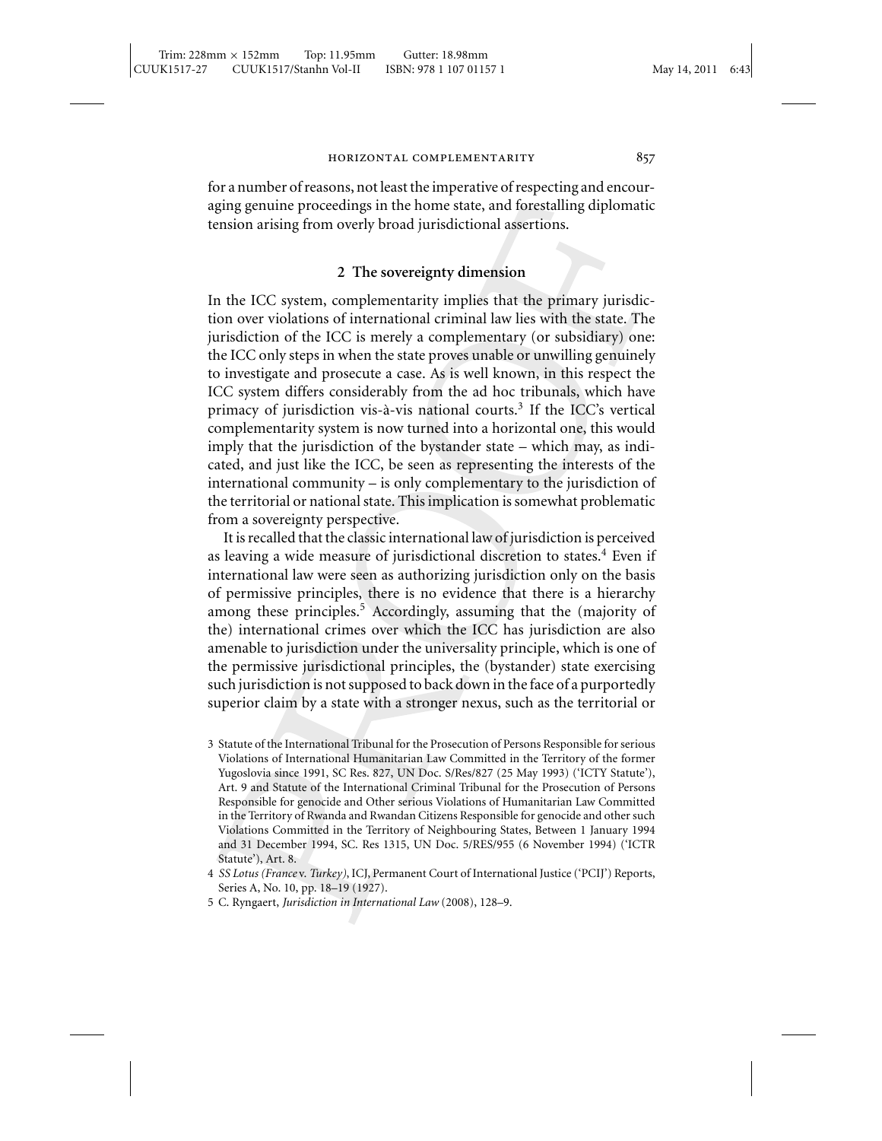for a number of reasons, not least the imperative of respecting and encouraging genuine proceedings in the home state, and forestalling diplomatic tension arising from overly broad jurisdictional assertions.

### **2 The sovereignty dimension**

In the ICC system, complementarity implies that the primary jurisdiction over violations of international criminal law lies with the state. The jurisdiction of the ICC is merely a complementary (or subsidiary) one: the ICC only steps in when the state proves unable or unwilling genuinely to investigate and prosecute a case. As is well known, in this respect the ICC system differs considerably from the ad hoc tribunals, which have primacy of jurisdiction vis-à-vis national courts.<sup>3</sup> If the ICC's vertical complementarity system is now turned into a horizontal one, this would imply that the jurisdiction of the bystander state – which may, as indicated, and just like the ICC, be seen as representing the interests of the international community – is only complementary to the jurisdiction of the territorial or national state. This implication is somewhat problematic from a sovereignty perspective.

It is recalled that the classic international law of jurisdiction is perceived as leaving a wide measure of jurisdictional discretion to states. $4$  Even if international law were seen as authorizing jurisdiction only on the basis of permissive principles, there is no evidence that there is a hierarchy among these principles.<sup>5</sup> Accordingly, assuming that the (majority of the) international crimes over which the ICC has jurisdiction are also amenable to jurisdiction under the universality principle, which is one of the permissive jurisdictional principles, the (bystander) state exercising such jurisdiction is not supposed to back down in the face of a purportedly superior claim by a state with a stronger nexus, such as the territorial or

<sup>3</sup> Statute of the International Tribunal for the Prosecution of Persons Responsible for serious Violations of International Humanitarian Law Committed in the Territory of the former Yugoslovia since 1991, SC Res. 827, UN Doc. S/Res/827 (25 May 1993) ('ICTY Statute'), Art. 9 and Statute of the International Criminal Tribunal for the Prosecution of Persons Responsible for genocide and Other serious Violations of Humanitarian Law Committed in the Territory of Rwanda and Rwandan Citizens Responsible for genocide and other such Violations Committed in the Territory of Neighbouring States, Between 1 January 1994 and 31 December 1994, SC. Res 1315, UN Doc. 5/RES/955 (6 November 1994) ('ICTR Statute'), Art. 8.

<sup>4</sup> *SS Lotus (France* v. *Turkey)*, ICJ, Permanent Court of International Justice ('PCIJ') Reports, Series A, No. 10, pp. 18–19 (1927).

<sup>5</sup> C. Ryngaert, *Jurisdiction in International Law* (2008), 128–9.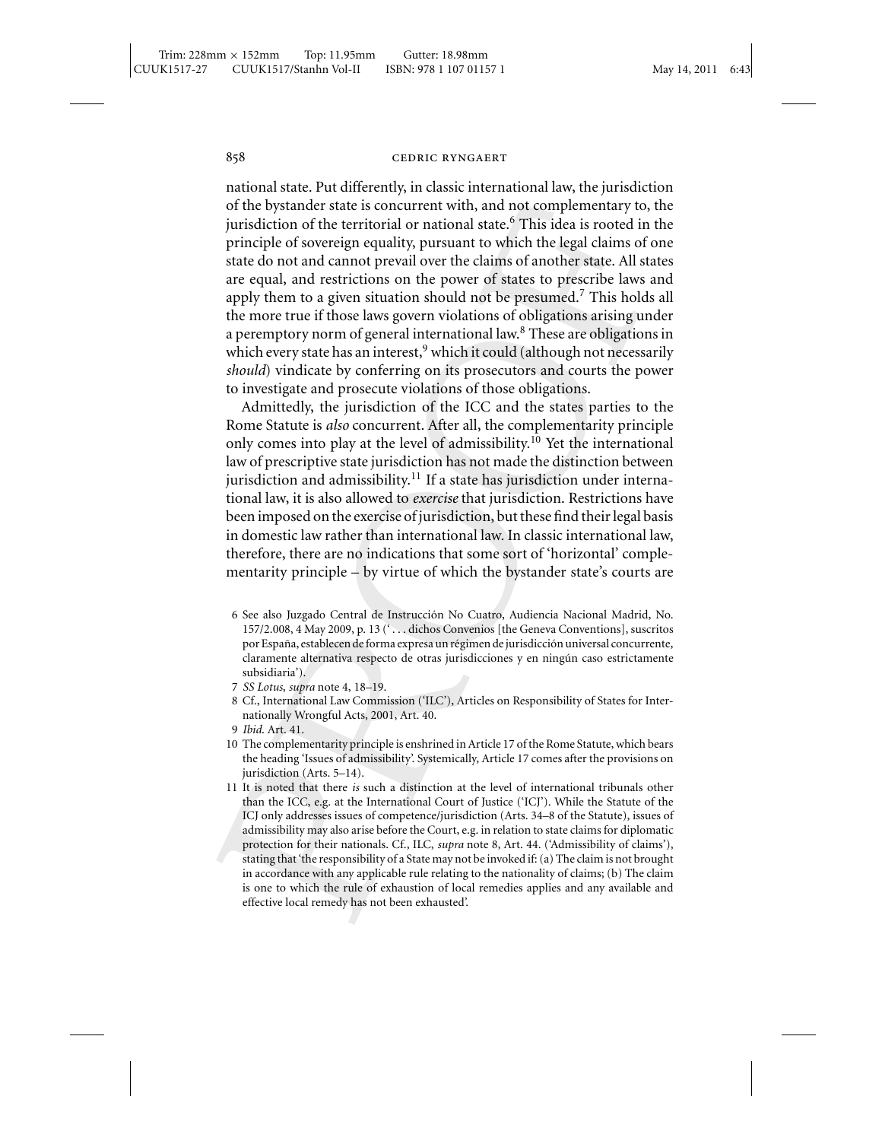national state. Put differently, in classic international law, the jurisdiction of the bystander state is concurrent with, and not complementary to, the jurisdiction of the territorial or national state.<sup>6</sup> This idea is rooted in the principle of sovereign equality, pursuant to which the legal claims of one state do not and cannot prevail over the claims of another state. All states are equal, and restrictions on the power of states to prescribe laws and apply them to a given situation should not be presumed.<sup>7</sup> This holds all the more true if those laws govern violations of obligations arising under a peremptory norm of general international law.<sup>8</sup> These are obligations in which every state has an interest,<sup>9</sup> which it could (although not necessarily *should*) vindicate by conferring on its prosecutors and courts the power to investigate and prosecute violations of those obligations.

Admittedly, the jurisdiction of the ICC and the states parties to the Rome Statute is *also* concurrent. After all, the complementarity principle only comes into play at the level of admissibility.<sup>10</sup> Yet the international law of prescriptive state jurisdiction has not made the distinction between jurisdiction and admissibility.<sup>11</sup> If a state has jurisdiction under international law, it is also allowed to *exercise* that jurisdiction. Restrictions have been imposed on the exercise of jurisdiction, but these find their legal basis in domestic law rather than international law. In classic international law, therefore, there are no indications that some sort of 'horizontal' complementarity principle – by virtue of which the bystander state's courts are

- 6 See also Juzgado Central de Instruccion No Cuatro, Audiencia Nacional Madrid, No. ´ 157/2.008, 4 May 2009, p. 13 (' . . . dichos Convenios [the Geneva Conventions], suscritos por España, establecen de forma expresa un régimen de jurisdicción universal concurrente, claramente alternativa respecto de otras jurisdicciones y en ningún caso estrictamente subsidiaria').
- 7 *SS Lotus*, *supra* note 4, 18–19.
- 8 Cf., International Law Commission ('ILC'), Articles on Responsibility of States for Internationally Wrongful Acts, 2001, Art. 40.
- 9 *Ibid*. Art. 41.
- 10 The complementarity principle is enshrined in Article 17 of the Rome Statute, which bears the heading 'Issues of admissibility'. Systemically, Article 17 comes after the provisions on jurisdiction (Arts. 5–14).
- 11 It is noted that there *is* such a distinction at the level of international tribunals other than the ICC, e.g. at the International Court of Justice ('ICJ'). While the Statute of the ICJ only addresses issues of competence/jurisdiction (Arts. 34–8 of the Statute), issues of admissibility may also arise before the Court, e.g. in relation to state claims for diplomatic protection for their nationals. Cf., ILC, *supra* note 8, Art. 44. ('Admissibility of claims'), stating that 'the responsibility of a State may not be invoked if: (a) The claim is not brought in accordance with any applicable rule relating to the nationality of claims; (b) The claim is one to which the rule of exhaustion of local remedies applies and any available and effective local remedy has not been exhausted'.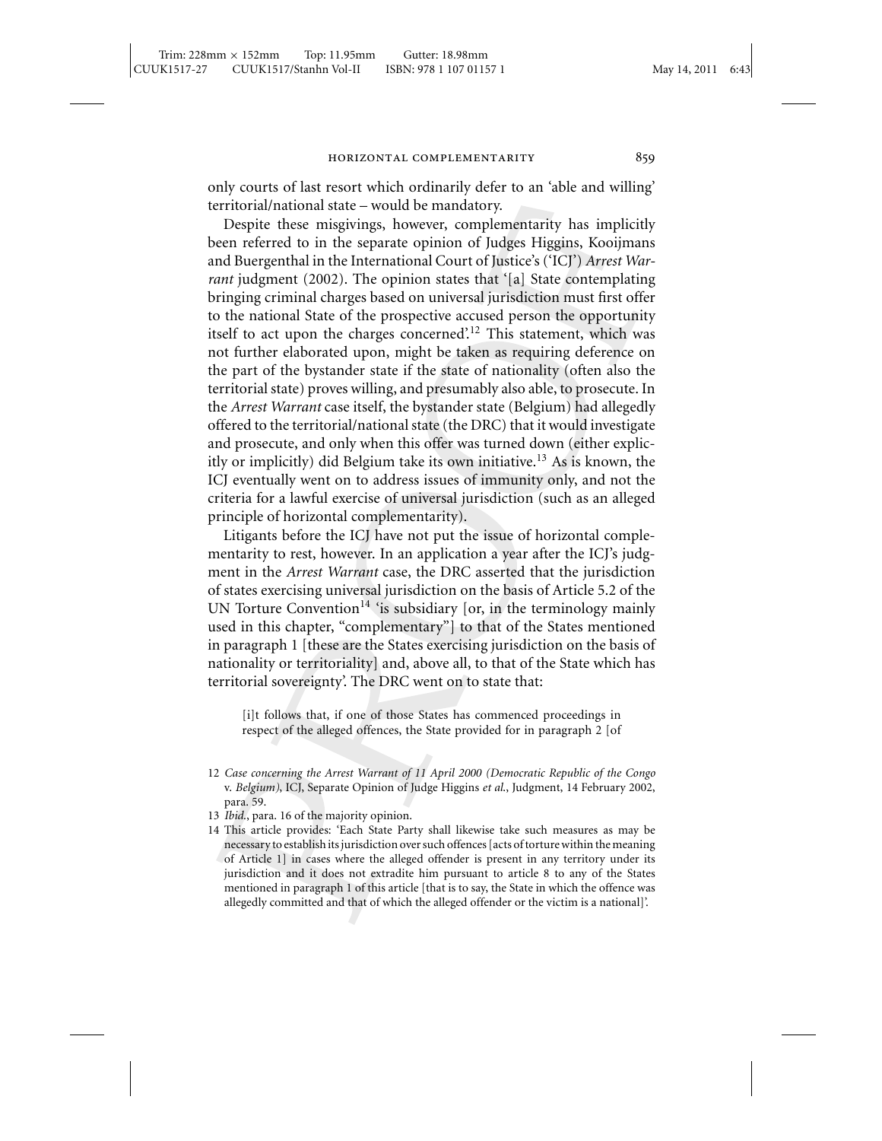only courts of last resort which ordinarily defer to an 'able and willing' territorial/national state – would be mandatory.

Despite these misgivings, however, complementarity has implicitly been referred to in the separate opinion of Judges Higgins, Kooijmans and Buergenthal in the International Court of Justice's ('ICJ') *Arrest Warrant* judgment (2002). The opinion states that '[a] State contemplating bringing criminal charges based on universal jurisdiction must first offer to the national State of the prospective accused person the opportunity itself to act upon the charges concerned'.<sup>12</sup> This statement, which was not further elaborated upon, might be taken as requiring deference on the part of the bystander state if the state of nationality (often also the territorial state) proves willing, and presumably also able, to prosecute. In the *Arrest Warrant* case itself, the bystander state (Belgium) had allegedly offered to the territorial/national state (the DRC) that it would investigate and prosecute, and only when this offer was turned down (either explicitly or implicitly) did Belgium take its own initiative.<sup>13</sup> As is known, the ICJ eventually went on to address issues of immunity only, and not the criteria for a lawful exercise of universal jurisdiction (such as an alleged principle of horizontal complementarity).

Litigants before the ICJ have not put the issue of horizontal complementarity to rest, however. In an application a year after the ICJ's judgment in the *Arrest Warrant* case, the DRC asserted that the jurisdiction of states exercising universal jurisdiction on the basis of Article 5.2 of the UN Torture Convention<sup>14</sup> 'is subsidiary [or, in the terminology mainly used in this chapter, "complementary"] to that of the States mentioned in paragraph 1 [these are the States exercising jurisdiction on the basis of nationality or territoriality] and, above all, to that of the State which has territorial sovereignty'. The DRC went on to state that:

[i]t follows that, if one of those States has commenced proceedings in respect of the alleged offences, the State provided for in paragraph 2 [of

- 13 *Ibid*., para. 16 of the majority opinion.
- 14 This article provides: 'Each State Party shall likewise take such measures as may be necessary to establish its jurisdiction over such offences [acts of torture within the meaning of Article 1] in cases where the alleged offender is present in any territory under its jurisdiction and it does not extradite him pursuant to article 8 to any of the States mentioned in paragraph 1 of this article [that is to say, the State in which the offence was allegedly committed and that of which the alleged offender or the victim is a national]'.

<sup>12</sup> *Case concerning the Arrest Warrant of 11 April 2000 (Democratic Republic of the Congo* v. *Belgium)*, ICJ, Separate Opinion of Judge Higgins *et al*., Judgment, 14 February 2002, para. 59.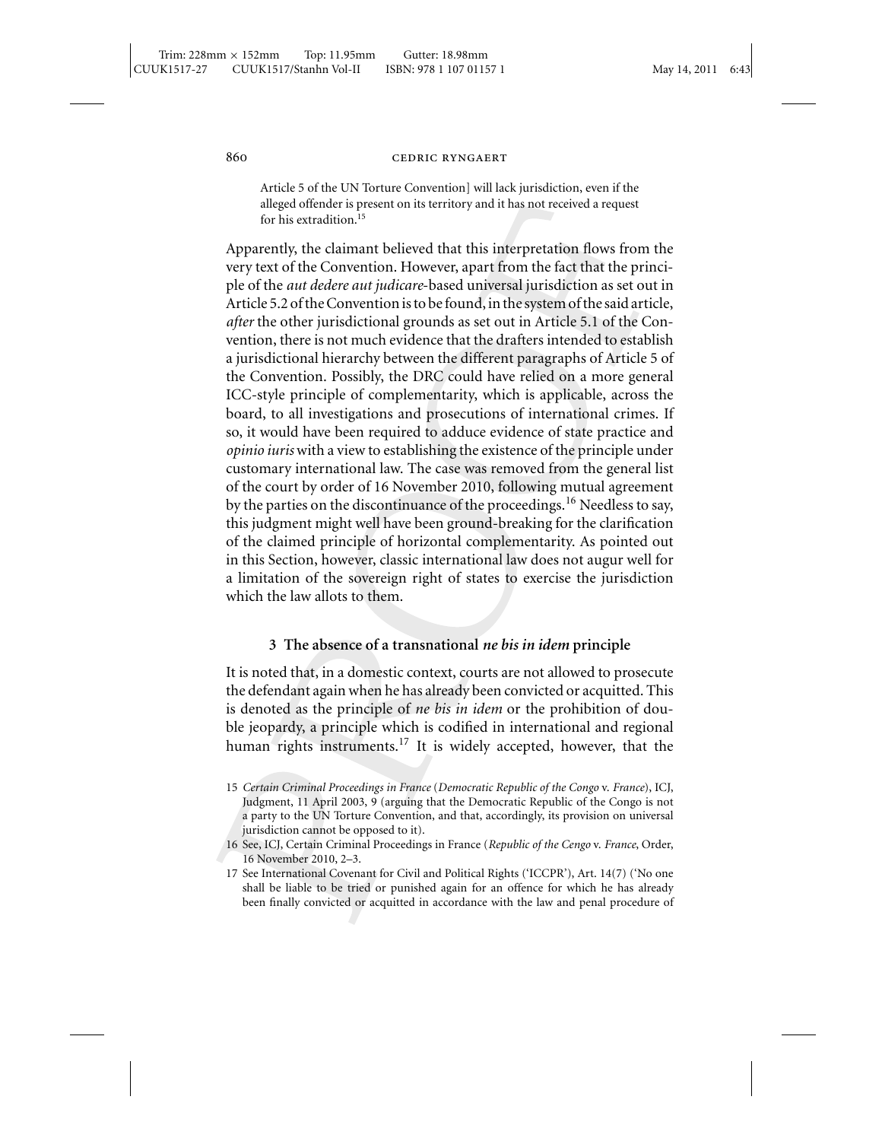Article 5 of the UN Torture Convention] will lack jurisdiction, even if the alleged offender is present on its territory and it has not received a request for his extradition.<sup>15</sup>

Apparently, the claimant believed that this interpretation flows from the very text of the Convention. However, apart from the fact that the principle of the *aut dedere aut judicare*-based universal jurisdiction as set out in Article 5.2 of the Convention is to be found, in the system of the said article, *after* the other jurisdictional grounds as set out in Article 5.1 of the Convention, there is not much evidence that the drafters intended to establish a jurisdictional hierarchy between the different paragraphs of Article 5 of the Convention. Possibly, the DRC could have relied on a more general ICC-style principle of complementarity, which is applicable, across the board, to all investigations and prosecutions of international crimes. If so, it would have been required to adduce evidence of state practice and *opinio iuris* with a view to establishing the existence of the principle under customary international law. The case was removed from the general list of the court by order of 16 November 2010, following mutual agreement by the parties on the discontinuance of the proceedings.<sup>16</sup> Needless to say, this judgment might well have been ground-breaking for the clarification of the claimed principle of horizontal complementarity. As pointed out in this Section, however, classic international law does not augur well for a limitation of the sovereign right of states to exercise the jurisdiction which the law allots to them.

### **3 The absence of a transnational** *ne bis in idem* **principle**

It is noted that, in a domestic context, courts are not allowed to prosecute the defendant again when he has already been convicted or acquitted. This is denoted as the principle of *ne bis in idem* or the prohibition of double jeopardy, a principle which is codified in international and regional human rights instruments.<sup>17</sup> It is widely accepted, however, that the

<sup>15</sup> *Certain Criminal Proceedings in France* (*Democratic Republic of the Congo* v. *France*), ICJ, Judgment, 11 April 2003, 9 (arguing that the Democratic Republic of the Congo is not a party to the UN Torture Convention, and that, accordingly, its provision on universal jurisdiction cannot be opposed to it).

<sup>16</sup> See, ICJ, Certain Criminal Proceedings in France (*Republic of the Cengo* v. *France*, Order, 16 November 2010, 2–3.

<sup>17</sup> See International Covenant for Civil and Political Rights ('ICCPR'), Art. 14(7) ('No one shall be liable to be tried or punished again for an offence for which he has already been finally convicted or acquitted in accordance with the law and penal procedure of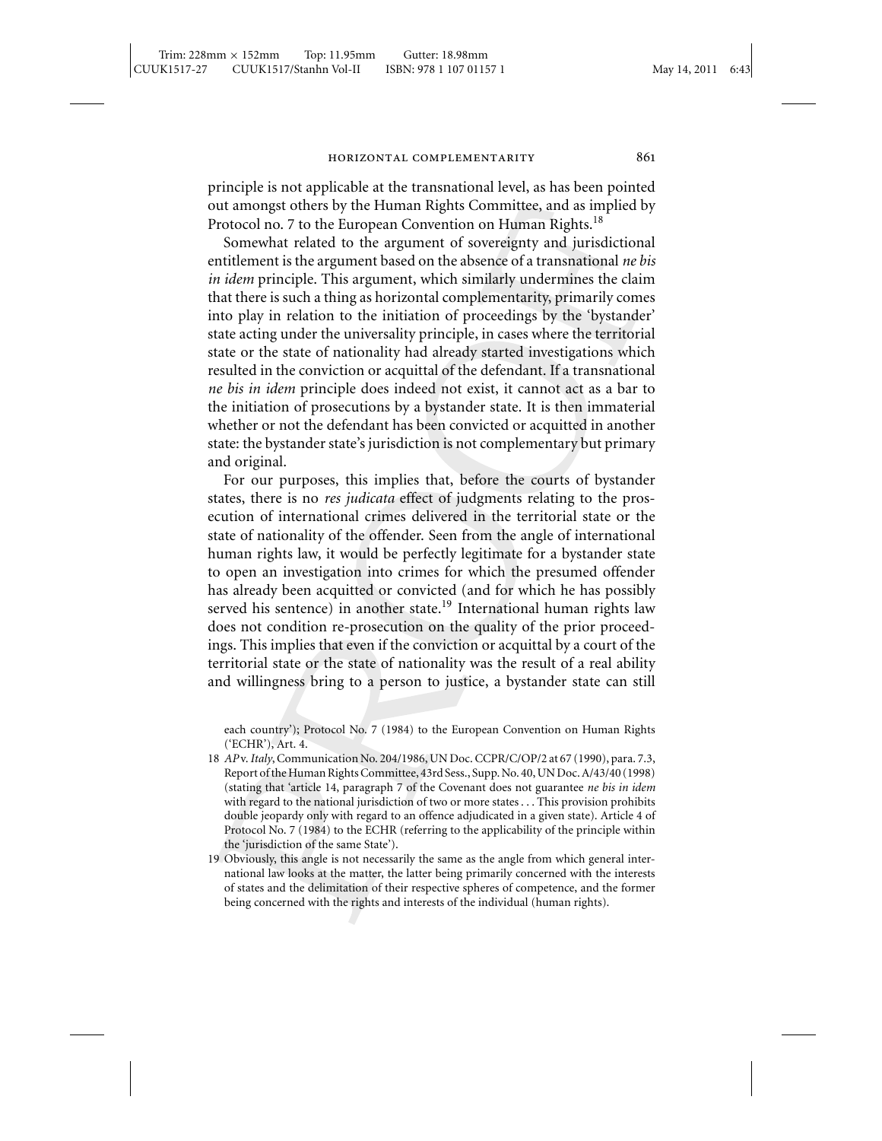principle is not applicable at the transnational level, as has been pointed out amongst others by the Human Rights Committee, and as implied by Protocol no. 7 to the European Convention on Human Rights.<sup>18</sup>

Somewhat related to the argument of sovereignty and jurisdictional entitlement is the argument based on the absence of a transnational *ne bis in idem* principle. This argument, which similarly undermines the claim that there is such a thing as horizontal complementarity, primarily comes into play in relation to the initiation of proceedings by the 'bystander' state acting under the universality principle, in cases where the territorial state or the state of nationality had already started investigations which resulted in the conviction or acquittal of the defendant. If a transnational *ne bis in idem* principle does indeed not exist, it cannot act as a bar to the initiation of prosecutions by a bystander state. It is then immaterial whether or not the defendant has been convicted or acquitted in another state: the bystander state's jurisdiction is not complementary but primary and original.

For our purposes, this implies that, before the courts of bystander states, there is no *res judicata* effect of judgments relating to the prosecution of international crimes delivered in the territorial state or the state of nationality of the offender. Seen from the angle of international human rights law, it would be perfectly legitimate for a bystander state to open an investigation into crimes for which the presumed offender has already been acquitted or convicted (and for which he has possibly served his sentence) in another state.<sup>19</sup> International human rights law does not condition re-prosecution on the quality of the prior proceedings. This implies that even if the conviction or acquittal by a court of the territorial state or the state of nationality was the result of a real ability and willingness bring to a person to justice, a bystander state can still

each country'); Protocol No. 7 (1984) to the European Convention on Human Rights ('ECHR'), Art. 4.

- 18 *AP* v.*Italy*, Communication No. 204/1986, UN Doc. CCPR/C/OP/2 at 67 (1990), para. 7.3, Report of the Human Rights Committee, 43rd Sess., Supp. No. 40, UN Doc. A/43/40 (1998) (stating that 'article 14, paragraph 7 of the Covenant does not guarantee *ne bis in idem* with regard to the national jurisdiction of two or more states . . . This provision prohibits double jeopardy only with regard to an offence adjudicated in a given state). Article 4 of Protocol No. 7 (1984) to the ECHR (referring to the applicability of the principle within the 'jurisdiction of the same State').
- 19 Obviously, this angle is not necessarily the same as the angle from which general international law looks at the matter, the latter being primarily concerned with the interests of states and the delimitation of their respective spheres of competence, and the former being concerned with the rights and interests of the individual (human rights).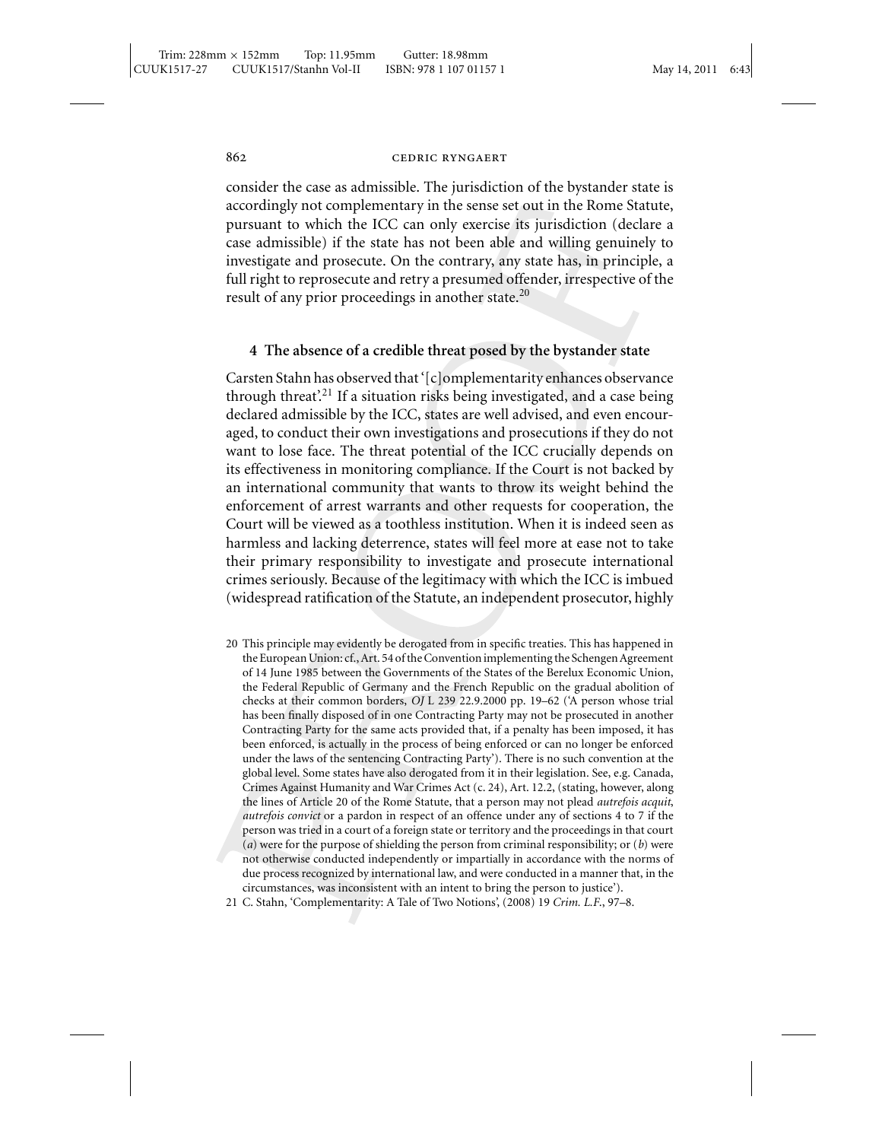consider the case as admissible. The jurisdiction of the bystander state is accordingly not complementary in the sense set out in the Rome Statute, pursuant to which the ICC can only exercise its jurisdiction (declare a case admissible) if the state has not been able and willing genuinely to investigate and prosecute. On the contrary, any state has, in principle, a full right to reprosecute and retry a presumed offender, irrespective of the result of any prior proceedings in another state.<sup>20</sup>

### **4 The absence of a credible threat posed by the bystander state**

Carsten Stahn has observed that '[c]omplementarity enhances observance through threat'.<sup>21</sup> If a situation risks being investigated, and a case being declared admissible by the ICC, states are well advised, and even encouraged, to conduct their own investigations and prosecutions if they do not want to lose face. The threat potential of the ICC crucially depends on its effectiveness in monitoring compliance. If the Court is not backed by an international community that wants to throw its weight behind the enforcement of arrest warrants and other requests for cooperation, the Court will be viewed as a toothless institution. When it is indeed seen as harmless and lacking deterrence, states will feel more at ease not to take their primary responsibility to investigate and prosecute international crimes seriously. Because of the legitimacy with which the ICC is imbued (widespread ratification of the Statute, an independent prosecutor, highly

20 This principle may evidently be derogated from in specific treaties. This has happened in the European Union: cf., Art. 54 of the Convention implementing the Schengen Agreement of 14 June 1985 between the Governments of the States of the Berelux Economic Union, the Federal Republic of Germany and the French Republic on the gradual abolition of checks at their common borders, *OJ* L 239 22.9.2000 pp. 19–62 ('A person whose trial has been finally disposed of in one Contracting Party may not be prosecuted in another Contracting Party for the same acts provided that, if a penalty has been imposed, it has been enforced, is actually in the process of being enforced or can no longer be enforced under the laws of the sentencing Contracting Party'). There is no such convention at the global level. Some states have also derogated from it in their legislation. See, e.g. Canada, Crimes Against Humanity and War Crimes Act (c. 24), Art. 12.2, (stating, however, along the lines of Article 20 of the Rome Statute, that a person may not plead *autrefois acquit*, *autrefois convict* or a pardon in respect of an offence under any of sections 4 to 7 if the person was tried in a court of a foreign state or territory and the proceedings in that court (*a*) were for the purpose of shielding the person from criminal responsibility; or (*b*) were not otherwise conducted independently or impartially in accordance with the norms of due process recognized by international law, and were conducted in a manner that, in the circumstances, was inconsistent with an intent to bring the person to justice').

21 C. Stahn, 'Complementarity: A Tale of Two Notions', (2008) 19 *Crim. L.F*., 97–8.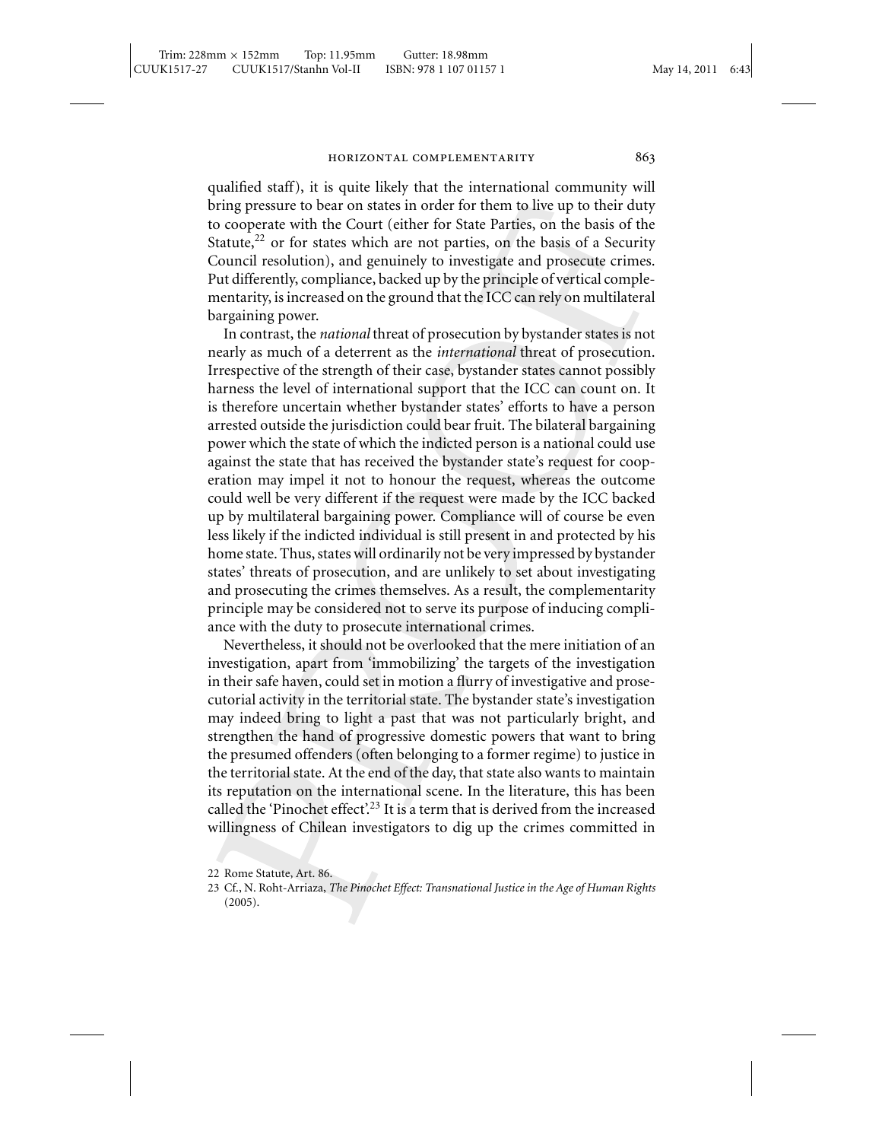qualified staff), it is quite likely that the international community will bring pressure to bear on states in order for them to live up to their duty to cooperate with the Court (either for State Parties, on the basis of the Statute,  $2^2$  or for states which are not parties, on the basis of a Security Council resolution), and genuinely to investigate and prosecute crimes. Put differently, compliance, backed up by the principle of vertical complementarity, is increased on the ground that the ICC can rely on multilateral bargaining power.

In contrast, the *national* threat of prosecution by bystander states is not nearly as much of a deterrent as the *international* threat of prosecution. Irrespective of the strength of their case, bystander states cannot possibly harness the level of international support that the ICC can count on. It is therefore uncertain whether bystander states' efforts to have a person arrested outside the jurisdiction could bear fruit. The bilateral bargaining power which the state of which the indicted person is a national could use against the state that has received the bystander state's request for cooperation may impel it not to honour the request, whereas the outcome could well be very different if the request were made by the ICC backed up by multilateral bargaining power. Compliance will of course be even less likely if the indicted individual is still present in and protected by his home state. Thus, states will ordinarily not be very impressed by bystander states' threats of prosecution, and are unlikely to set about investigating and prosecuting the crimes themselves. As a result, the complementarity principle may be considered not to serve its purpose of inducing compliance with the duty to prosecute international crimes.

Nevertheless, it should not be overlooked that the mere initiation of an investigation, apart from 'immobilizing' the targets of the investigation in their safe haven, could set in motion a flurry of investigative and prosecutorial activity in the territorial state. The bystander state's investigation may indeed bring to light a past that was not particularly bright, and strengthen the hand of progressive domestic powers that want to bring the presumed offenders (often belonging to a former regime) to justice in the territorial state. At the end of the day, that state also wants to maintain its reputation on the international scene. In the literature, this has been called the 'Pinochet effect'.<sup>23</sup> It is a term that is derived from the increased willingness of Chilean investigators to dig up the crimes committed in

<sup>22</sup> Rome Statute, Art. 86.

<sup>23</sup> Cf., N. Roht-Arriaza, *The Pinochet Effect: Transnational Justice in the Age of Human Rights* (2005).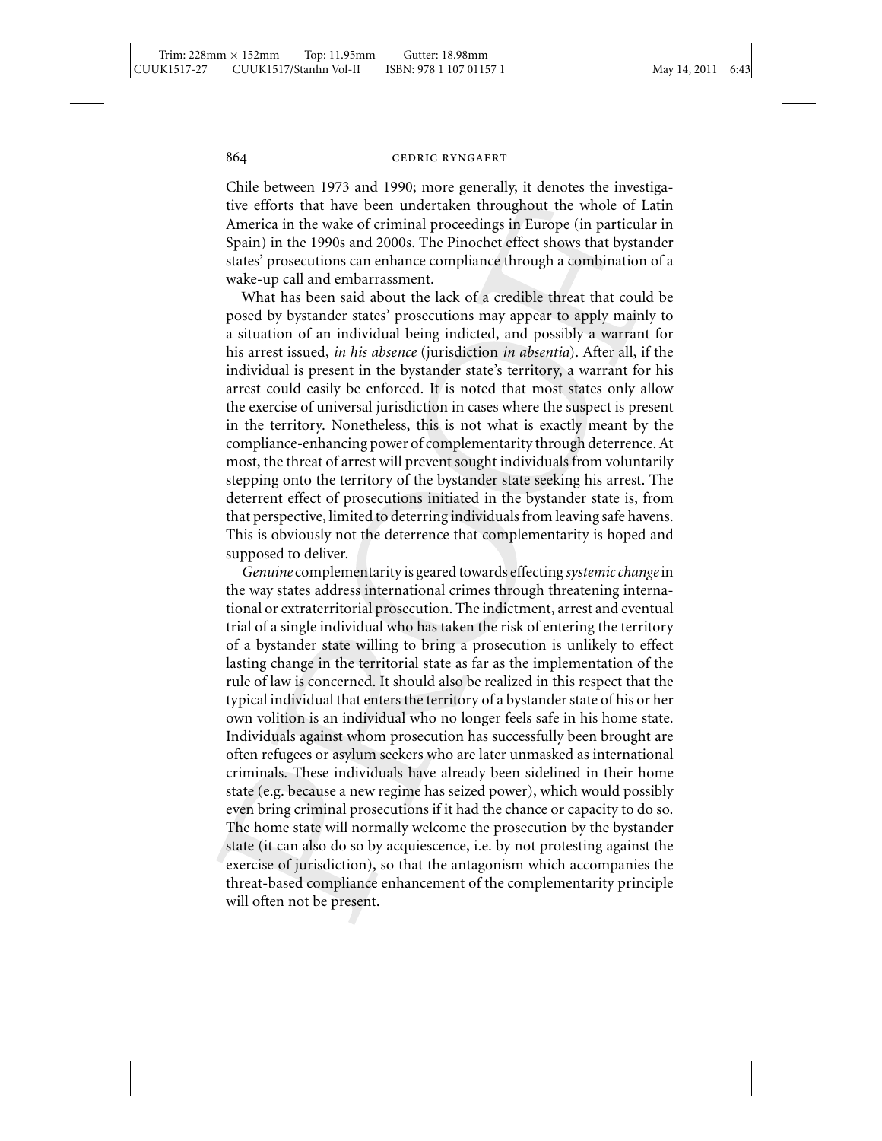Chile between 1973 and 1990; more generally, it denotes the investigative efforts that have been undertaken throughout the whole of Latin America in the wake of criminal proceedings in Europe (in particular in Spain) in the 1990s and 2000s. The Pinochet effect shows that bystander states' prosecutions can enhance compliance through a combination of a wake-up call and embarrassment.

What has been said about the lack of a credible threat that could be posed by bystander states' prosecutions may appear to apply mainly to a situation of an individual being indicted, and possibly a warrant for his arrest issued, *in his absence* (jurisdiction *in absentia*). After all, if the individual is present in the bystander state's territory, a warrant for his arrest could easily be enforced. It is noted that most states only allow the exercise of universal jurisdiction in cases where the suspect is present in the territory. Nonetheless, this is not what is exactly meant by the compliance-enhancing power of complementarity through deterrence. At most, the threat of arrest will prevent sought individuals from voluntarily stepping onto the territory of the bystander state seeking his arrest. The deterrent effect of prosecutions initiated in the bystander state is, from that perspective, limited to deterring individuals from leaving safe havens. This is obviously not the deterrence that complementarity is hoped and supposed to deliver.

*Genuine* complementarity is geared towards effecting *systemic change*in the way states address international crimes through threatening international or extraterritorial prosecution. The indictment, arrest and eventual trial of a single individual who has taken the risk of entering the territory of a bystander state willing to bring a prosecution is unlikely to effect lasting change in the territorial state as far as the implementation of the rule of law is concerned. It should also be realized in this respect that the typical individual that enters the territory of a bystander state of his or her own volition is an individual who no longer feels safe in his home state. Individuals against whom prosecution has successfully been brought are often refugees or asylum seekers who are later unmasked as international criminals. These individuals have already been sidelined in their home state (e.g. because a new regime has seized power), which would possibly even bring criminal prosecutions if it had the chance or capacity to do so. The home state will normally welcome the prosecution by the bystander state (it can also do so by acquiescence, i.e. by not protesting against the exercise of jurisdiction), so that the antagonism which accompanies the threat-based compliance enhancement of the complementarity principle will often not be present.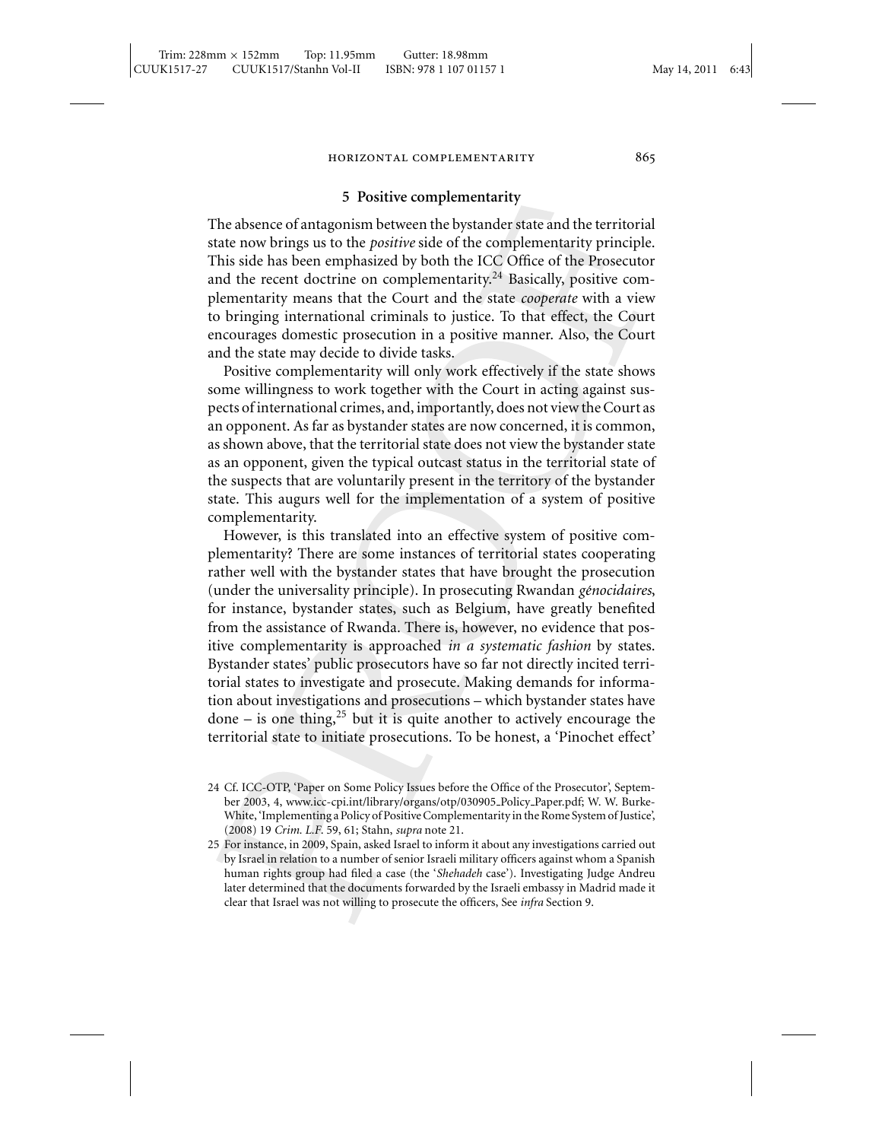### **5 Positive complementarity**

The absence of antagonism between the bystander state and the territorial state now brings us to the *positive* side of the complementarity principle. This side has been emphasized by both the ICC Office of the Prosecutor and the recent doctrine on complementarity.<sup>24</sup> Basically, positive complementarity means that the Court and the state *cooperate* with a view to bringing international criminals to justice. To that effect, the Court encourages domestic prosecution in a positive manner. Also, the Court and the state may decide to divide tasks.

Positive complementarity will only work effectively if the state shows some willingness to work together with the Court in acting against suspects of international crimes, and, importantly, does not view the Court as an opponent. As far as bystander states are now concerned, it is common, as shown above, that the territorial state does not view the bystander state as an opponent, given the typical outcast status in the territorial state of the suspects that are voluntarily present in the territory of the bystander state. This augurs well for the implementation of a system of positive complementarity.

However, is this translated into an effective system of positive complementarity? There are some instances of territorial states cooperating rather well with the bystander states that have brought the prosecution (under the universality principle). In prosecuting Rwandan *génocidaires*, for instance, bystander states, such as Belgium, have greatly benefited from the assistance of Rwanda. There is, however, no evidence that positive complementarity is approached *in a systematic fashion* by states. Bystander states' public prosecutors have so far not directly incited territorial states to investigate and prosecute. Making demands for information about investigations and prosecutions – which bystander states have done – is one thing,<sup>25</sup> but it is quite another to actively encourage the territorial state to initiate prosecutions. To be honest, a 'Pinochet effect'

<sup>24</sup> Cf. ICC-OTP, 'Paper on Some Policy Issues before the Office of the Prosecutor', September 2003, 4, www.icc-cpi.int/library/organs/otp/030905 Policy Paper.pdf; W. W. Burke-White, 'Implementing a Policy of Positive Complementarity in the Rome System of Justice', (2008) 19 *Crim. L.F*. 59, 61; Stahn, *supra* note 21.

<sup>25</sup> For instance, in 2009, Spain, asked Israel to inform it about any investigations carried out by Israel in relation to a number of senior Israeli military officers against whom a Spanish human rights group had filed a case (the '*Shehadeh* case'). Investigating Judge Andreu later determined that the documents forwarded by the Israeli embassy in Madrid made it clear that Israel was not willing to prosecute the officers, See *infra* Section 9.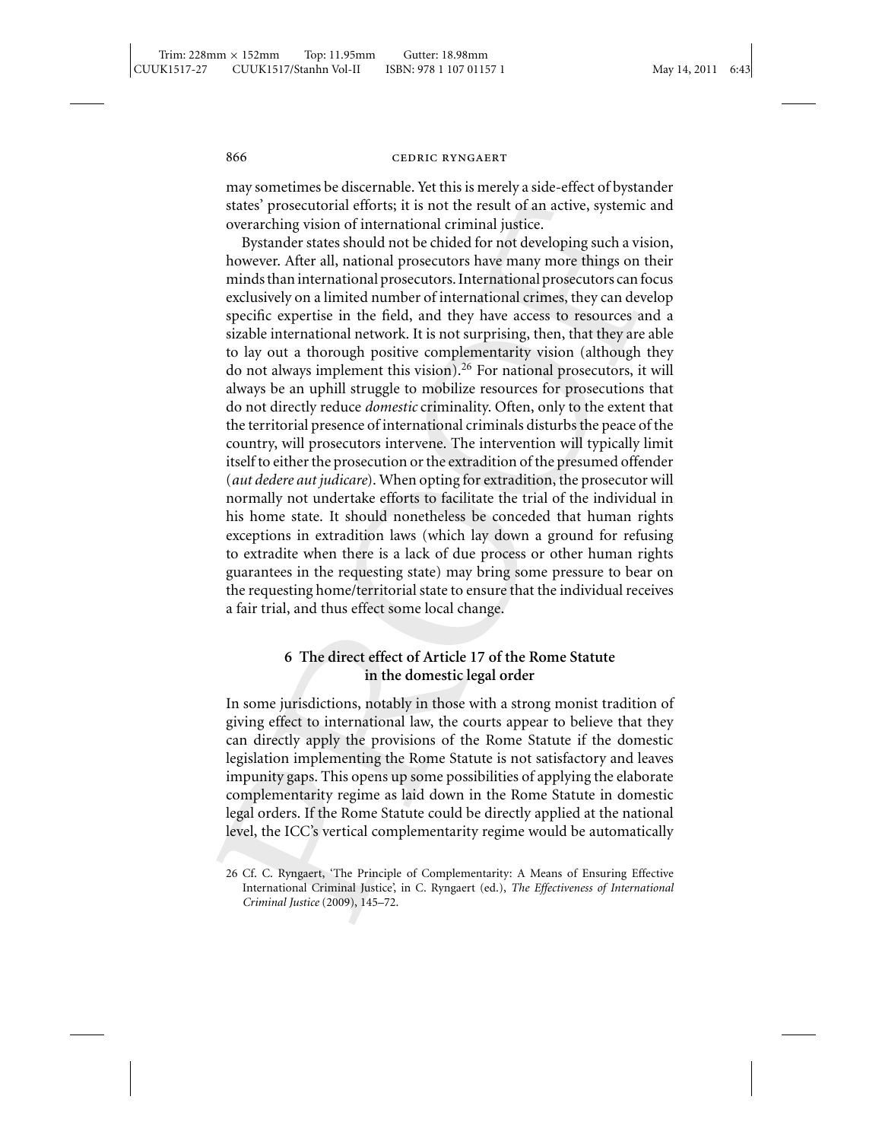may sometimes be discernable. Yet this is merely a side-effect of bystander states' prosecutorial efforts; it is not the result of an active, systemic and overarching vision of international criminal justice.

Bystander states should not be chided for not developing such a vision, however. After all, national prosecutors have many more things on their minds than international prosecutors. International prosecutors can focus exclusively on a limited number of international crimes, they can develop specific expertise in the field, and they have access to resources and a sizable international network. It is not surprising, then, that they are able to lay out a thorough positive complementarity vision (although they do not always implement this vision).<sup>26</sup> For national prosecutors, it will always be an uphill struggle to mobilize resources for prosecutions that do not directly reduce *domestic* criminality. Often, only to the extent that the territorial presence of international criminals disturbs the peace of the country, will prosecutors intervene. The intervention will typically limit itself to either the prosecution or the extradition of the presumed offender (*aut dedere aut judicare*). When opting for extradition, the prosecutor will normally not undertake efforts to facilitate the trial of the individual in his home state. It should nonetheless be conceded that human rights exceptions in extradition laws (which lay down a ground for refusing to extradite when there is a lack of due process or other human rights guarantees in the requesting state) may bring some pressure to bear on the requesting home/territorial state to ensure that the individual receives a fair trial, and thus effect some local change.

# **6 The direct effect of Article 17 of the Rome Statute in the domestic legal order**

In some jurisdictions, notably in those with a strong monist tradition of giving effect to international law, the courts appear to believe that they can directly apply the provisions of the Rome Statute if the domestic legislation implementing the Rome Statute is not satisfactory and leaves impunity gaps. This opens up some possibilities of applying the elaborate complementarity regime as laid down in the Rome Statute in domestic legal orders. If the Rome Statute could be directly applied at the national level, the ICC's vertical complementarity regime would be automatically

<sup>26</sup> Cf. C. Ryngaert, 'The Principle of Complementarity: A Means of Ensuring Effective International Criminal Justice', in C. Ryngaert (ed.), *The Effectiveness of International Criminal Justice* (2009), 145–72.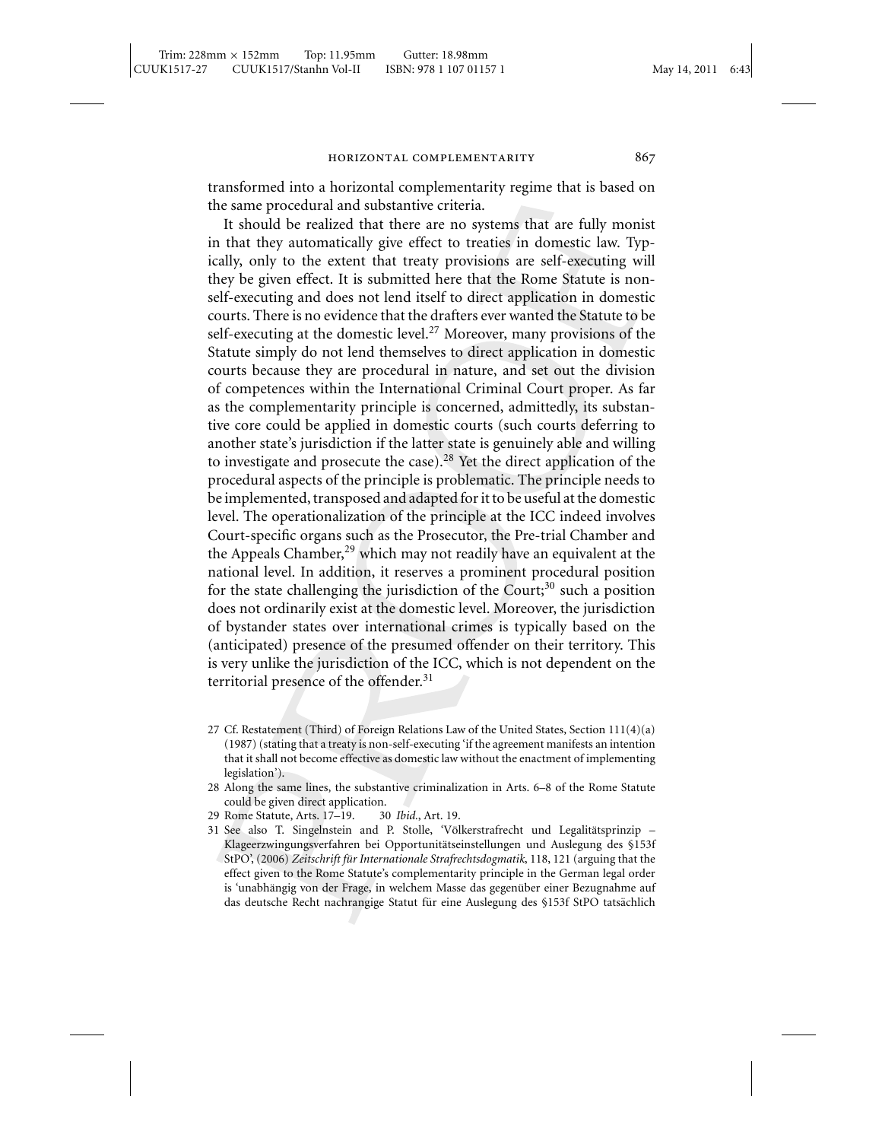transformed into a horizontal complementarity regime that is based on the same procedural and substantive criteria.

It should be realized that there are no systems that are fully monist in that they automatically give effect to treaties in domestic law. Typically, only to the extent that treaty provisions are self-executing will they be given effect. It is submitted here that the Rome Statute is nonself-executing and does not lend itself to direct application in domestic courts. There is no evidence that the drafters ever wanted the Statute to be self-executing at the domestic level.<sup>27</sup> Moreover, many provisions of the Statute simply do not lend themselves to direct application in domestic courts because they are procedural in nature, and set out the division of competences within the International Criminal Court proper. As far as the complementarity principle is concerned, admittedly, its substantive core could be applied in domestic courts (such courts deferring to another state's jurisdiction if the latter state is genuinely able and willing to investigate and prosecute the case).<sup>28</sup> Yet the direct application of the procedural aspects of the principle is problematic. The principle needs to be implemented, transposed and adapted for it to be useful at the domestic level. The operationalization of the principle at the ICC indeed involves Court-specific organs such as the Prosecutor, the Pre-trial Chamber and the Appeals Chamber, $^{29}$  which may not readily have an equivalent at the national level. In addition, it reserves a prominent procedural position for the state challenging the jurisdiction of the Court; $30$  such a position does not ordinarily exist at the domestic level. Moreover, the jurisdiction of bystander states over international crimes is typically based on the (anticipated) presence of the presumed offender on their territory. This is very unlike the jurisdiction of the ICC, which is not dependent on the territorial presence of the offender.<sup>31</sup>

27 Cf. Restatement (Third) of Foreign Relations Law of the United States, Section 111(4)(a) (1987) (stating that a treaty is non-self-executing 'if the agreement manifests an intention that it shall not become effective as domestic law without the enactment of implementing legislation').

<sup>28</sup> Along the same lines, the substantive criminalization in Arts. 6–8 of the Rome Statute could be given direct application.

<sup>29</sup> Rome Statute, Arts. 17–19. 30 *Ibid.*, Art. 19.

<sup>31</sup> See also T. Singelnstein and P. Stolle, 'Völkerstrafrecht und Legalitätsprinzip – Klageerzwingungsverfahren bei Opportunitätseinstellungen und Auslegung des §153f StPO', (2006) *Zeitschrift für Internationale Strafrechtsdogmatik*, 118, 121 (arguing that the effect given to the Rome Statute's complementarity principle in the German legal order is 'unabhängig von der Frage, in welchem Masse das gegenüber einer Bezugnahme auf das deutsche Recht nachrangige Statut für eine Auslegung des §153f StPO tatsächlich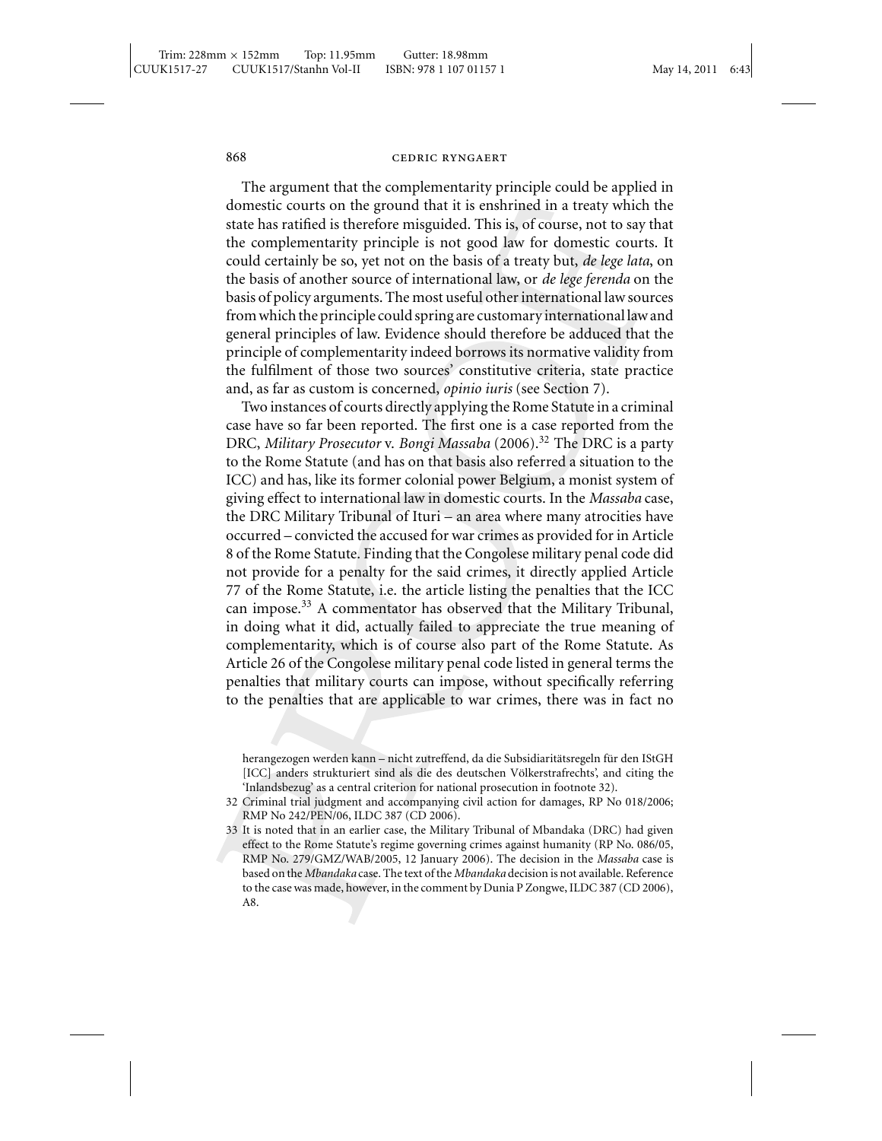The argument that the complementarity principle could be applied in domestic courts on the ground that it is enshrined in a treaty which the state has ratified is therefore misguided. This is, of course, not to say that the complementarity principle is not good law for domestic courts. It could certainly be so, yet not on the basis of a treaty but, *de lege lata*, on the basis of another source of international law, or *de lege ferenda* on the basis of policy arguments. The most useful other international law sources from which the principle could spring are customary international law and general principles of law. Evidence should therefore be adduced that the principle of complementarity indeed borrows its normative validity from the fulfilment of those two sources' constitutive criteria, state practice and, as far as custom is concerned, *opinio iuris* (see Section 7).

Two instances of courts directly applying the Rome Statute in a criminal case have so far been reported. The first one is a case reported from the DRC, *Military Prosecutor* v. *Bongi Massaba* (2006).<sup>32</sup> The DRC is a party to the Rome Statute (and has on that basis also referred a situation to the ICC) and has, like its former colonial power Belgium, a monist system of giving effect to international law in domestic courts. In the *Massaba* case, the DRC Military Tribunal of Ituri – an area where many atrocities have occurred – convicted the accused for war crimes as provided for in Article 8 of the Rome Statute. Finding that the Congolese military penal code did not provide for a penalty for the said crimes, it directly applied Article 77 of the Rome Statute, i.e. the article listing the penalties that the ICC can impose.<sup>33</sup> A commentator has observed that the Military Tribunal, in doing what it did, actually failed to appreciate the true meaning of complementarity, which is of course also part of the Rome Statute. As Article 26 of the Congolese military penal code listed in general terms the penalties that military courts can impose, without specifically referring to the penalties that are applicable to war crimes, there was in fact no

herangezogen werden kann – nicht zutreffend, da die Subsidiaritätsregeln für den IStGH [ICC] anders strukturiert sind als die des deutschen Völkerstrafrechts', and citing the 'Inlandsbezug' as a central criterion for national prosecution in footnote 32).

- 32 Criminal trial judgment and accompanying civil action for damages, RP No 018/2006; RMP No 242/PEN/06, ILDC 387 (CD 2006).
- 33 It is noted that in an earlier case, the Military Tribunal of Mbandaka (DRC) had given effect to the Rome Statute's regime governing crimes against humanity (RP No. 086/05, RMP No. 279/GMZ/WAB/2005, 12 January 2006). The decision in the *Massaba* case is based on the *Mbandaka* case. The text of the *Mbandaka* decision is not available. Reference to the case was made, however, in the comment by Dunia P Zongwe, ILDC 387 (CD 2006), A8.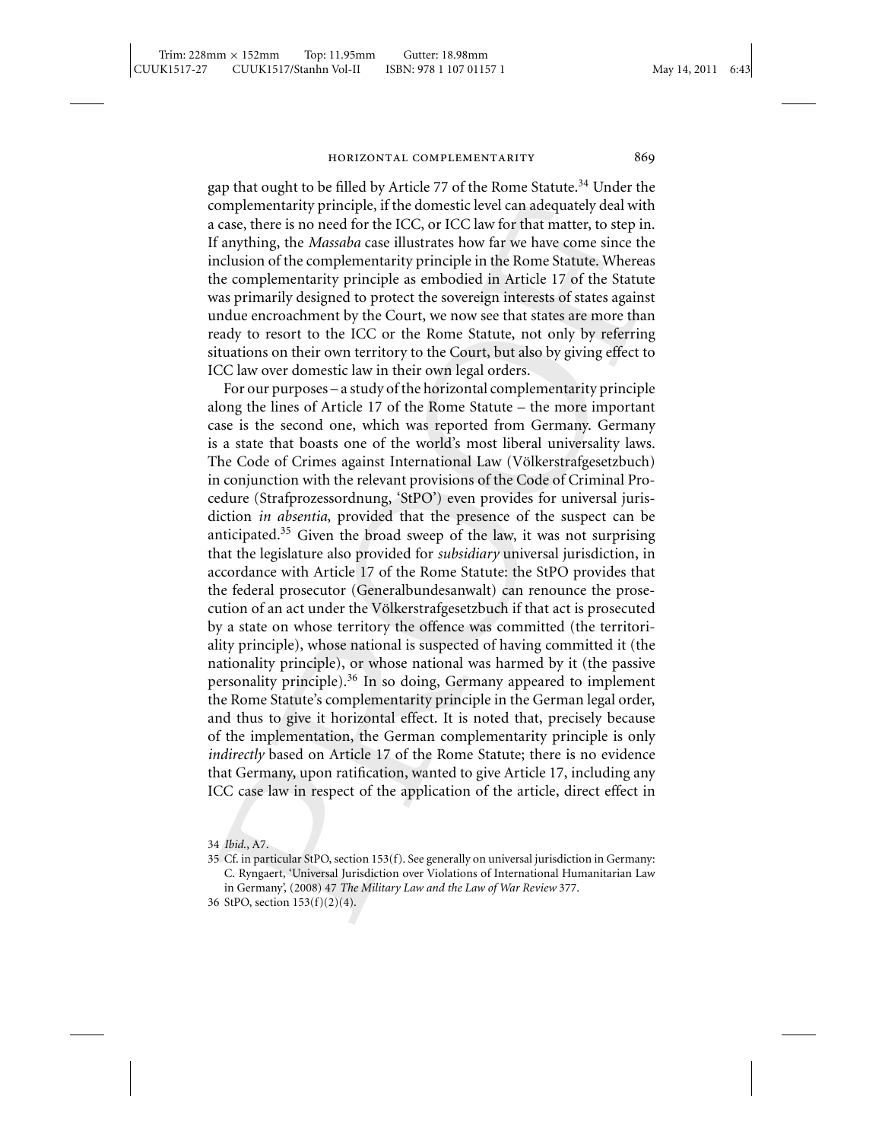gap that ought to be filled by Article 77 of the Rome Statute.<sup>34</sup> Under the complementarity principle, if the domestic level can adequately deal with a case, there is no need for the ICC, or ICC law for that matter, to step in. If anything, the *Massaba* case illustrates how far we have come since the inclusion of the complementarity principle in the Rome Statute. Whereas the complementarity principle as embodied in Article 17 of the Statute was primarily designed to protect the sovereign interests of states against undue encroachment by the Court, we now see that states are more than ready to resort to the ICC or the Rome Statute, not only by referring situations on their own territory to the Court, but also by giving effect to ICC law over domestic law in their own legal orders.

For our purposes – a study of the horizontal complementarity principle along the lines of Article 17 of the Rome Statute – the more important case is the second one, which was reported from Germany. Germany is a state that boasts one of the world's most liberal universality laws. The Code of Crimes against International Law (Völkerstrafgesetzbuch) in conjunction with the relevant provisions of the Code of Criminal Procedure (Strafprozessordnung, 'StPO') even provides for universal jurisdiction *in absentia*, provided that the presence of the suspect can be anticipated.<sup>35</sup> Given the broad sweep of the law, it was not surprising that the legislature also provided for *subsidiary* universal jurisdiction, in accordance with Article 17 of the Rome Statute: the StPO provides that the federal prosecutor (Generalbundesanwalt) can renounce the prosecution of an act under the Völkerstrafgesetzbuch if that act is prosecuted by a state on whose territory the offence was committed (the territoriality principle), whose national is suspected of having committed it (the nationality principle), or whose national was harmed by it (the passive personality principle).<sup>36</sup> In so doing, Germany appeared to implement the Rome Statute's complementarity principle in the German legal order, and thus to give it horizontal effect. It is noted that, precisely because of the implementation, the German complementarity principle is only *indirectly* based on Article 17 of the Rome Statute; there is no evidence that Germany, upon ratification, wanted to give Article 17, including any ICC case law in respect of the application of the article, direct effect in

34 *Ibid*., A7.

35 Cf. in particular StPO, section 153(f). See generally on universal jurisdiction in Germany: C. Ryngaert, 'Universal Jurisdiction over Violations of International Humanitarian Law in Germany', (2008) 47 *The Military Law and the Law of War Review* 377.

<sup>36</sup> StPO, section 153(f)(2)(4).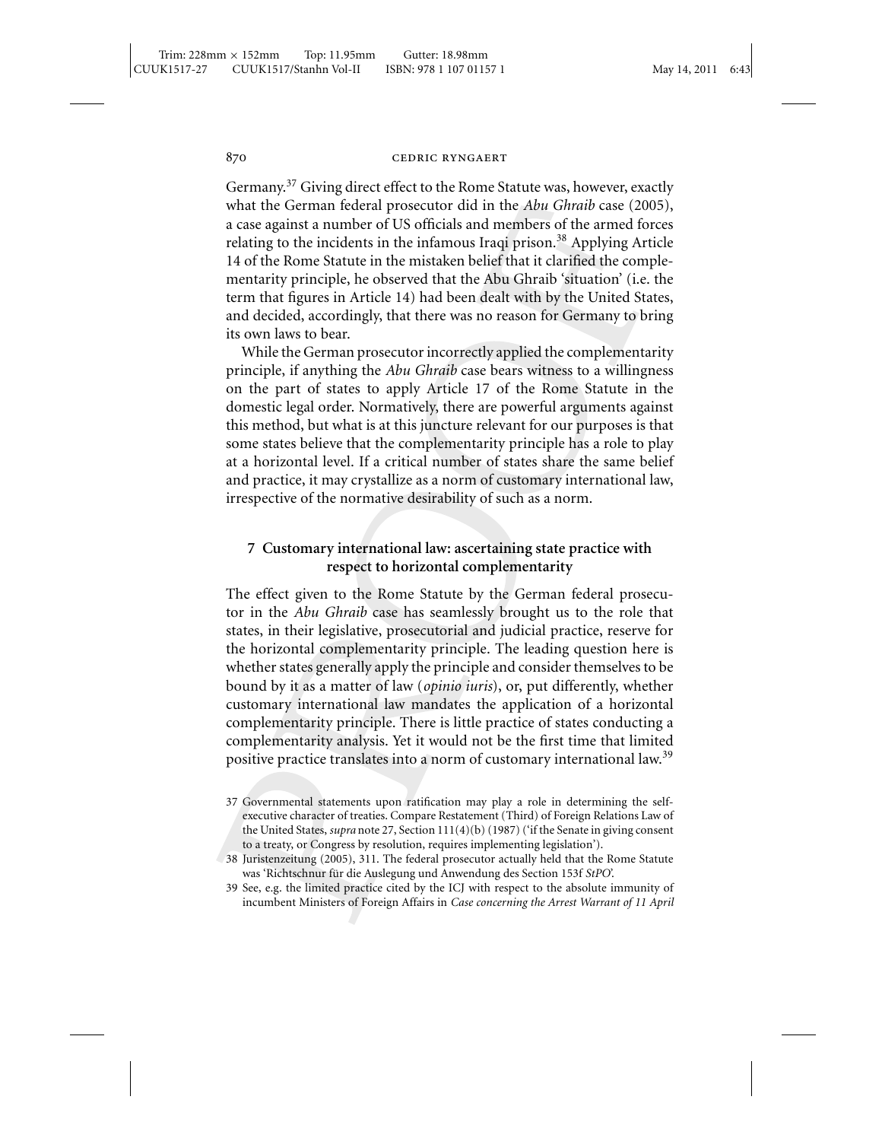Germany.<sup>37</sup> Giving direct effect to the Rome Statute was, however, exactly what the German federal prosecutor did in the *Abu Ghraib* case (2005), a case against a number of US officials and members of the armed forces relating to the incidents in the infamous Iraqi prison.<sup>38</sup> Applying Article 14 of the Rome Statute in the mistaken belief that it clarified the complementarity principle, he observed that the Abu Ghraib 'situation' (i.e. the term that figures in Article 14) had been dealt with by the United States, and decided, accordingly, that there was no reason for Germany to bring its own laws to bear.

While the German prosecutor incorrectly applied the complementarity principle, if anything the *Abu Ghraib* case bears witness to a willingness on the part of states to apply Article 17 of the Rome Statute in the domestic legal order. Normatively, there are powerful arguments against this method, but what is at this juncture relevant for our purposes is that some states believe that the complementarity principle has a role to play at a horizontal level. If a critical number of states share the same belief and practice, it may crystallize as a norm of customary international law, irrespective of the normative desirability of such as a norm.

# **7 Customary international law: ascertaining state practice with respect to horizontal complementarity**

The effect given to the Rome Statute by the German federal prosecutor in the *Abu Ghraib* case has seamlessly brought us to the role that states, in their legislative, prosecutorial and judicial practice, reserve for the horizontal complementarity principle. The leading question here is whether states generally apply the principle and consider themselves to be bound by it as a matter of law (*opinio iuris*), or, put differently, whether customary international law mandates the application of a horizontal complementarity principle. There is little practice of states conducting a complementarity analysis. Yet it would not be the first time that limited positive practice translates into a norm of customary international law.<sup>39</sup>

<sup>37</sup> Governmental statements upon ratification may play a role in determining the selfexecutive character of treaties. Compare Restatement (Third) of Foreign Relations Law of the United States, *supra* note 27, Section 111(4)(b) (1987) ('if the Senate in giving consent to a treaty, or Congress by resolution, requires implementing legislation').

<sup>38</sup> Juristenzeitung (2005), 311. The federal prosecutor actually held that the Rome Statute was 'Richtschnur für die Auslegung und Anwendung des Section 153f StPO'.

<sup>39</sup> See, e.g. the limited practice cited by the ICJ with respect to the absolute immunity of incumbent Ministers of Foreign Affairs in *Case concerning the Arrest Warrant of 11 April*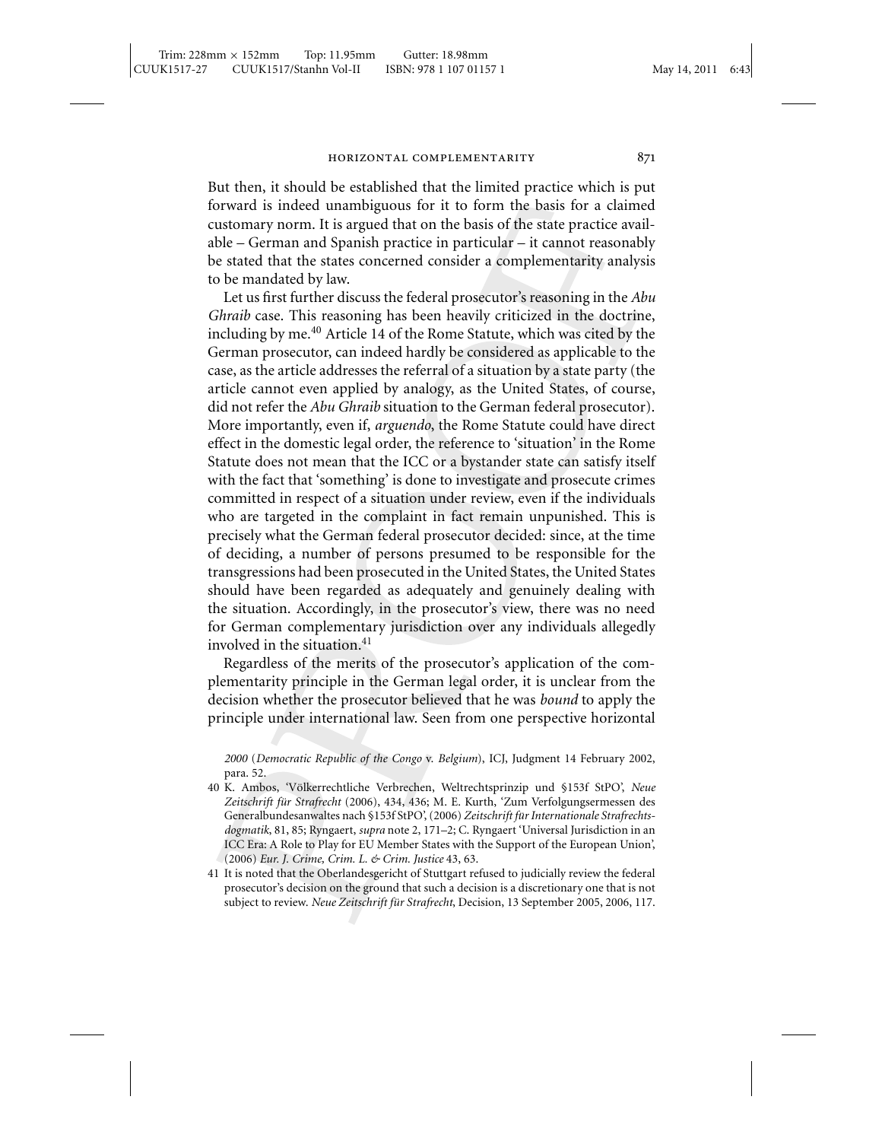But then, it should be established that the limited practice which is put forward is indeed unambiguous for it to form the basis for a claimed customary norm. It is argued that on the basis of the state practice available – German and Spanish practice in particular – it cannot reasonably be stated that the states concerned consider a complementarity analysis to be mandated by law.

Let us first further discuss the federal prosecutor's reasoning in the *Abu Ghraib* case. This reasoning has been heavily criticized in the doctrine, including by me.<sup>40</sup> Article 14 of the Rome Statute, which was cited by the German prosecutor, can indeed hardly be considered as applicable to the case, as the article addresses the referral of a situation by a state party (the article cannot even applied by analogy, as the United States, of course, did not refer the *Abu Ghraib* situation to the German federal prosecutor). More importantly, even if, *arguendo*, the Rome Statute could have direct effect in the domestic legal order, the reference to 'situation' in the Rome Statute does not mean that the ICC or a bystander state can satisfy itself with the fact that 'something' is done to investigate and prosecute crimes committed in respect of a situation under review, even if the individuals who are targeted in the complaint in fact remain unpunished. This is precisely what the German federal prosecutor decided: since, at the time of deciding, a number of persons presumed to be responsible for the transgressions had been prosecuted in the United States, the United States should have been regarded as adequately and genuinely dealing with the situation. Accordingly, in the prosecutor's view, there was no need for German complementary jurisdiction over any individuals allegedly involved in the situation.<sup>41</sup>

Regardless of the merits of the prosecutor's application of the complementarity principle in the German legal order, it is unclear from the decision whether the prosecutor believed that he was *bound* to apply the principle under international law. Seen from one perspective horizontal

*2000* (*Democratic Republic of the Congo* v. *Belgium*), ICJ, Judgment 14 February 2002, para. 52.

- 40 K. Ambos, 'Völkerrechtliche Verbrechen, Weltrechtsprinzip und §153f StPO', Neue Zeitschrift für Strafrecht (2006), 434, 436; M. E. Kurth, 'Zum Verfolgungsermessen des Generalbundesanwaltes nach §153f StPO', (2006) *Zeitschrift fur Internationale Strafrechts- ¨ dogmatik*, 81, 85; Ryngaert, *supra* note 2, 171–2; C. Ryngaert 'Universal Jurisdiction in an ICC Era: A Role to Play for EU Member States with the Support of the European Union', (2006) *Eur. J. Crime, Crim. L. & Crim. Justice* 43, 63.
- 41 It is noted that the Oberlandesgericht of Stuttgart refused to judicially review the federal prosecutor's decision on the ground that such a decision is a discretionary one that is not subject to review. *Neue Zeitschrift für Strafrecht*, Decision, 13 September 2005, 2006, 117.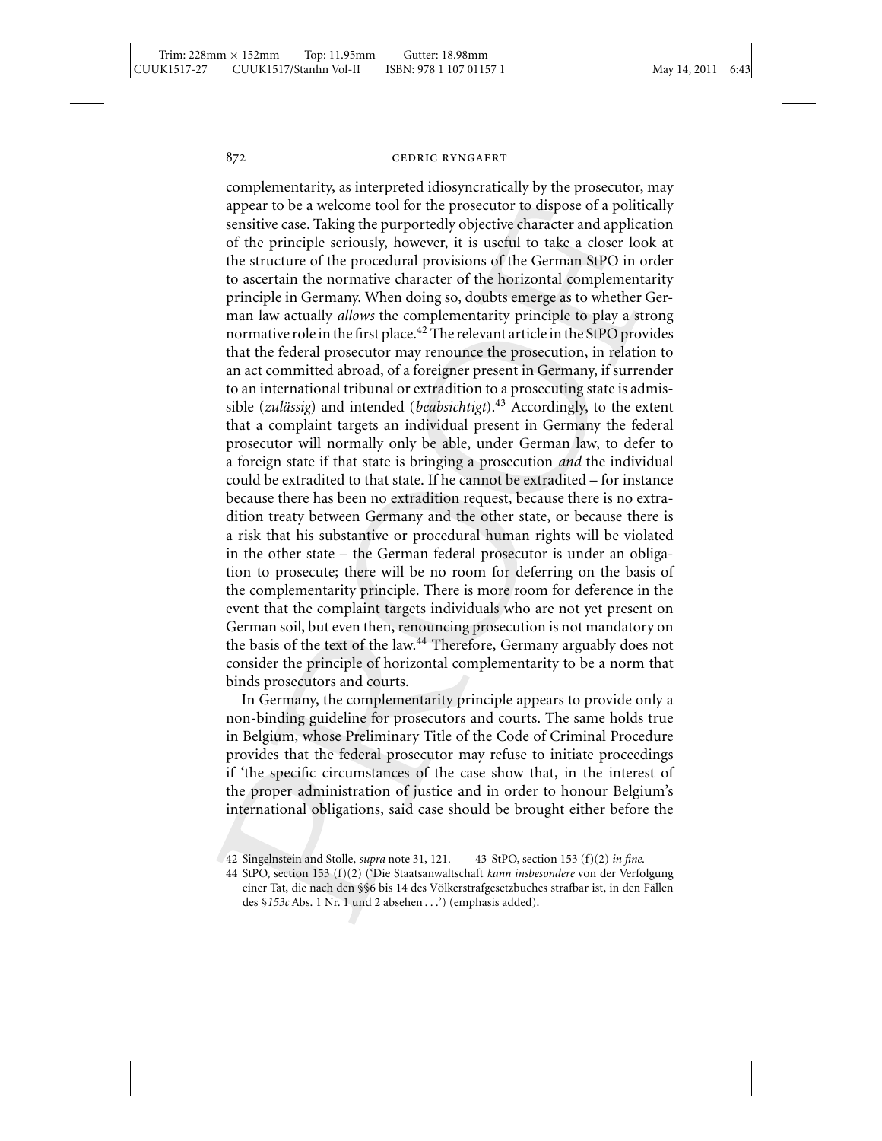complementarity, as interpreted idiosyncratically by the prosecutor, may appear to be a welcome tool for the prosecutor to dispose of a politically sensitive case. Taking the purportedly objective character and application of the principle seriously, however, it is useful to take a closer look at the structure of the procedural provisions of the German StPO in order to ascertain the normative character of the horizontal complementarity principle in Germany. When doing so, doubts emerge as to whether German law actually *allows* the complementarity principle to play a strong normative role in the first place.<sup>42</sup> The relevant article in the StPO provides that the federal prosecutor may renounce the prosecution, in relation to an act committed abroad, of a foreigner present in Germany, if surrender to an international tribunal or extradition to a prosecuting state is admissible (*zulässig*) and intended (*beabsichtigt*).<sup>43</sup> Accordingly, to the extent that a complaint targets an individual present in Germany the federal prosecutor will normally only be able, under German law, to defer to a foreign state if that state is bringing a prosecution *and* the individual could be extradited to that state. If he cannot be extradited – for instance because there has been no extradition request, because there is no extradition treaty between Germany and the other state, or because there is a risk that his substantive or procedural human rights will be violated in the other state – the German federal prosecutor is under an obligation to prosecute; there will be no room for deferring on the basis of the complementarity principle. There is more room for deference in the event that the complaint targets individuals who are not yet present on German soil, but even then, renouncing prosecution is not mandatory on the basis of the text of the law.<sup>44</sup> Therefore, Germany arguably does not consider the principle of horizontal complementarity to be a norm that binds prosecutors and courts.

In Germany, the complementarity principle appears to provide only a non-binding guideline for prosecutors and courts. The same holds true in Belgium, whose Preliminary Title of the Code of Criminal Procedure provides that the federal prosecutor may refuse to initiate proceedings if 'the specific circumstances of the case show that, in the interest of the proper administration of justice and in order to honour Belgium's international obligations, said case should be brought either before the

<sup>42</sup> Singelnstein and Stolle, *supra* note 31, 121. 43 StPO, section 153 (f)(2) *in fine*.

<sup>44</sup> StPO, section 153 (f)(2) ('Die Staatsanwaltschaft *kann insbesondere* von der Verfolgung einer Tat, die nach den §§6 bis 14 des Völkerstrafgesetzbuches strafbar ist, in den Fällen des §*153c* Abs. 1 Nr. 1 und 2 absehen . . .') (emphasis added).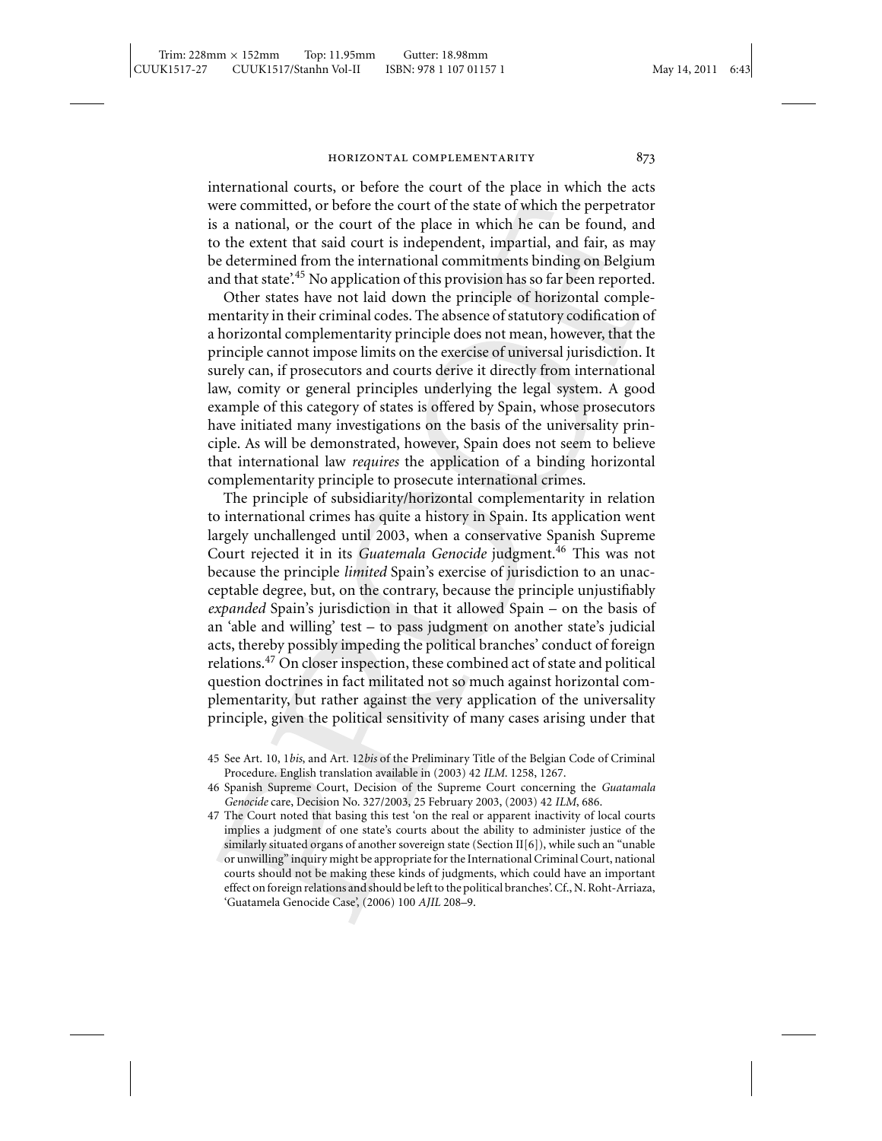international courts, or before the court of the place in which the acts were committed, or before the court of the state of which the perpetrator is a national, or the court of the place in which he can be found, and to the extent that said court is independent, impartial, and fair, as may be determined from the international commitments binding on Belgium and that state'.<sup>45</sup> No application of this provision has so far been reported.

Other states have not laid down the principle of horizontal complementarity in their criminal codes. The absence of statutory codification of a horizontal complementarity principle does not mean, however, that the principle cannot impose limits on the exercise of universal jurisdiction. It surely can, if prosecutors and courts derive it directly from international law, comity or general principles underlying the legal system. A good example of this category of states is offered by Spain, whose prosecutors have initiated many investigations on the basis of the universality principle. As will be demonstrated, however, Spain does not seem to believe that international law *requires* the application of a binding horizontal complementarity principle to prosecute international crimes.

The principle of subsidiarity/horizontal complementarity in relation to international crimes has quite a history in Spain. Its application went largely unchallenged until 2003, when a conservative Spanish Supreme Court rejected it in its *Guatemala Genocide* judgment.<sup>46</sup> This was not because the principle *limited* Spain's exercise of jurisdiction to an unacceptable degree, but, on the contrary, because the principle unjustifiably *expanded* Spain's jurisdiction in that it allowed Spain – on the basis of an 'able and willing' test – to pass judgment on another state's judicial acts, thereby possibly impeding the political branches' conduct of foreign relations.<sup>47</sup> On closer inspection, these combined act of state and political question doctrines in fact militated not so much against horizontal complementarity, but rather against the very application of the universality principle, given the political sensitivity of many cases arising under that

46 Spanish Supreme Court, Decision of the Supreme Court concerning the *Guatamala Genocide* care, Decision No. 327/2003, 25 February 2003, (2003) 42 *ILM*, 686.

<sup>45</sup> See Art. 10, 1*bis*, and Art. 12*bis* of the Preliminary Title of the Belgian Code of Criminal Procedure. English translation available in (2003) 42 *ILM*. 1258, 1267.

<sup>47</sup> The Court noted that basing this test 'on the real or apparent inactivity of local courts implies a judgment of one state's courts about the ability to administer justice of the similarly situated organs of another sovereign state (Section II $[6]$ ), while such an "unable or unwilling" inquiry might be appropriate for the International Criminal Court, national courts should not be making these kinds of judgments, which could have an important effect on foreign relations and should be left to the political branches'. Cf., N. Roht-Arriaza, 'Guatamela Genocide Case', (2006) 100 *AJIL* 208–9.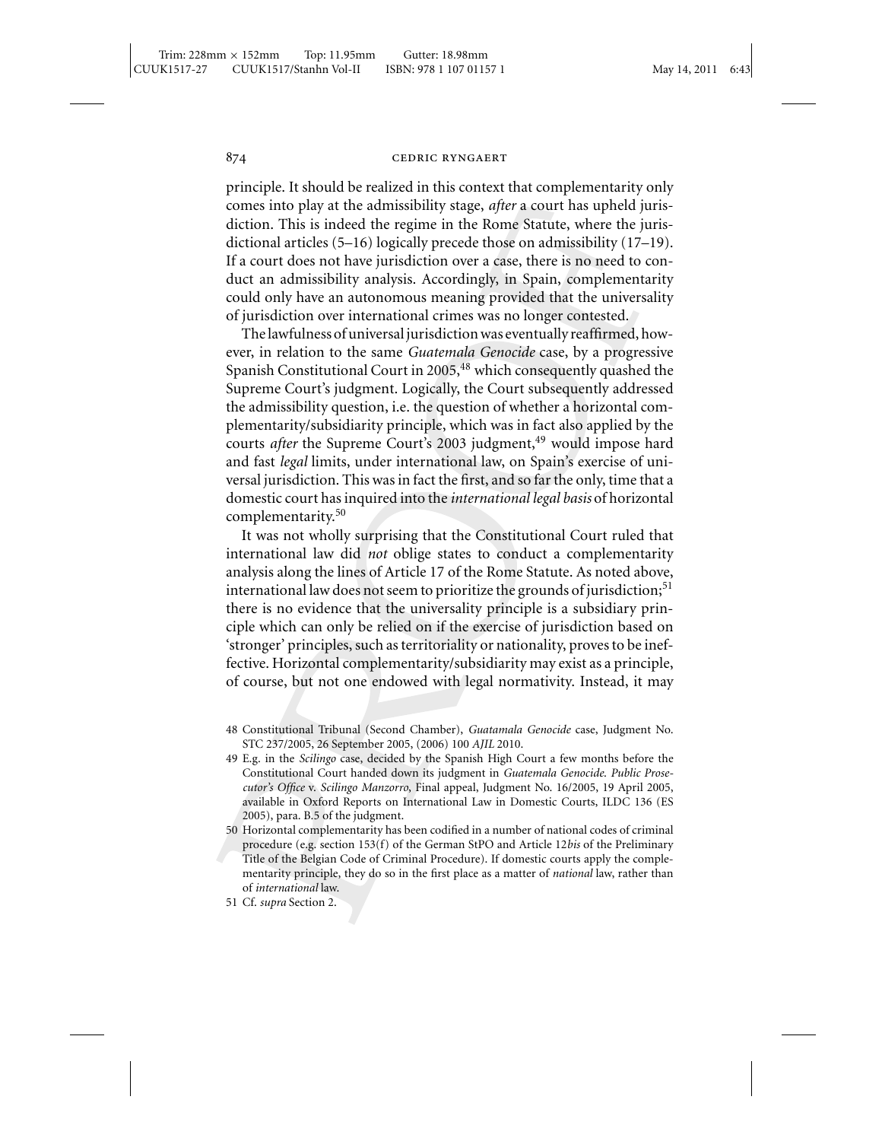principle. It should be realized in this context that complementarity only comes into play at the admissibility stage, *after* a court has upheld jurisdiction. This is indeed the regime in the Rome Statute, where the jurisdictional articles (5–16) logically precede those on admissibility (17–19). If a court does not have jurisdiction over a case, there is no need to conduct an admissibility analysis. Accordingly, in Spain, complementarity could only have an autonomous meaning provided that the universality of jurisdiction over international crimes was no longer contested.

The lawfulness of universal jurisdiction was eventually reaffirmed, however, in relation to the same *Guatemala Genocide* case, by a progressive Spanish Constitutional Court in 2005,  $48$  which consequently quashed the Supreme Court's judgment. Logically, the Court subsequently addressed the admissibility question, i.e. the question of whether a horizontal complementarity/subsidiarity principle, which was in fact also applied by the courts *after* the Supreme Court's 2003 judgment,<sup>49</sup> would impose hard and fast *legal* limits, under international law, on Spain's exercise of universal jurisdiction. This was in fact the first, and so far the only, time that a domestic court has inquired into the *international legal basis* of horizontal complementarity.<sup>50</sup>

It was not wholly surprising that the Constitutional Court ruled that international law did *not* oblige states to conduct a complementarity analysis along the lines of Article 17 of the Rome Statute. As noted above, international law does not seem to prioritize the grounds of jurisdiction; $51$ there is no evidence that the universality principle is a subsidiary principle which can only be relied on if the exercise of jurisdiction based on 'stronger' principles, such as territoriality or nationality, proves to be ineffective. Horizontal complementarity/subsidiarity may exist as a principle, of course, but not one endowed with legal normativity. Instead, it may

<sup>48</sup> Constitutional Tribunal (Second Chamber), *Guatamala Genocide* case, Judgment No. STC 237/2005, 26 September 2005, (2006) 100 *AJIL* 2010.

<sup>49</sup> E.g. in the *Scilingo* case, decided by the Spanish High Court a few months before the Constitutional Court handed down its judgment in *Guatemala Genocide*. *Public Prosecutor's Office* v. *Scilingo Manzorro*, Final appeal, Judgment No. 16/2005, 19 April 2005, available in Oxford Reports on International Law in Domestic Courts, ILDC 136 (ES 2005), para. B.5 of the judgment.

<sup>50</sup> Horizontal complementarity has been codified in a number of national codes of criminal procedure (e.g. section 153(f) of the German StPO and Article 12*bis* of the Preliminary Title of the Belgian Code of Criminal Procedure). If domestic courts apply the complementarity principle, they do so in the first place as a matter of *national* law, rather than of *international* law.

<sup>51</sup> Cf. *supra* Section 2.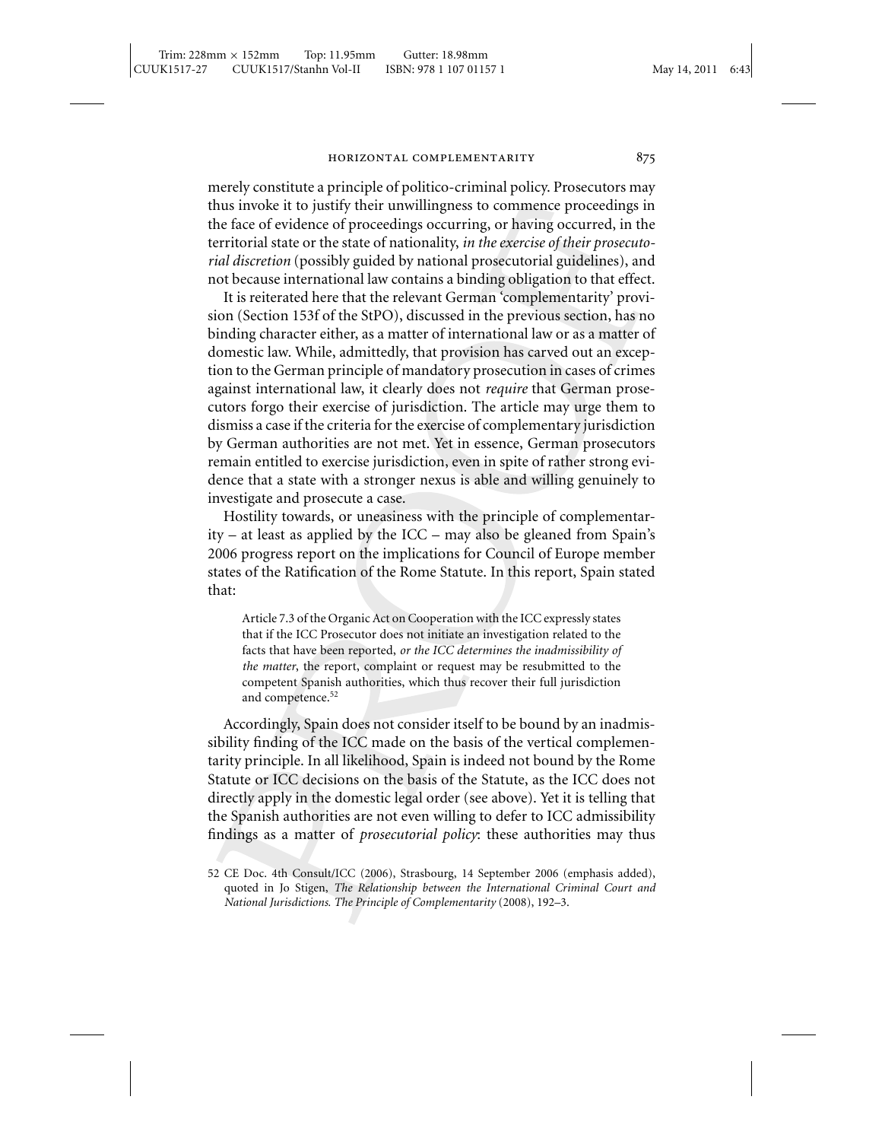merely constitute a principle of politico-criminal policy. Prosecutors may thus invoke it to justify their unwillingness to commence proceedings in the face of evidence of proceedings occurring, or having occurred, in the territorial state or the state of nationality, *in the exercise of their prosecutorial discretion* (possibly guided by national prosecutorial guidelines), and not because international law contains a binding obligation to that effect.

It is reiterated here that the relevant German 'complementarity' provision (Section 153f of the StPO), discussed in the previous section, has no binding character either, as a matter of international law or as a matter of domestic law. While, admittedly, that provision has carved out an exception to the German principle of mandatory prosecution in cases of crimes against international law, it clearly does not *require* that German prosecutors forgo their exercise of jurisdiction. The article may urge them to dismiss a case if the criteria for the exercise of complementary jurisdiction by German authorities are not met. Yet in essence, German prosecutors remain entitled to exercise jurisdiction, even in spite of rather strong evidence that a state with a stronger nexus is able and willing genuinely to investigate and prosecute a case.

Hostility towards, or uneasiness with the principle of complementarity – at least as applied by the ICC – may also be gleaned from Spain's 2006 progress report on the implications for Council of Europe member states of the Ratification of the Rome Statute. In this report, Spain stated that:

Article 7.3 of the Organic Act on Cooperation with the ICC expressly states that if the ICC Prosecutor does not initiate an investigation related to the facts that have been reported, *or the ICC determines the inadmissibility of the matter*, the report, complaint or request may be resubmitted to the competent Spanish authorities, which thus recover their full jurisdiction and competence.<sup>52</sup>

Accordingly, Spain does not consider itself to be bound by an inadmissibility finding of the ICC made on the basis of the vertical complementarity principle. In all likelihood, Spain is indeed not bound by the Rome Statute or ICC decisions on the basis of the Statute, as the ICC does not directly apply in the domestic legal order (see above). Yet it is telling that the Spanish authorities are not even willing to defer to ICC admissibility findings as a matter of *prosecutorial policy*: these authorities may thus

<sup>52</sup> CE Doc. 4th Consult/ICC (2006), Strasbourg, 14 September 2006 (emphasis added), quoted in Jo Stigen, *The Relationship between the International Criminal Court and National Jurisdictions. The Principle of Complementarity* (2008), 192–3.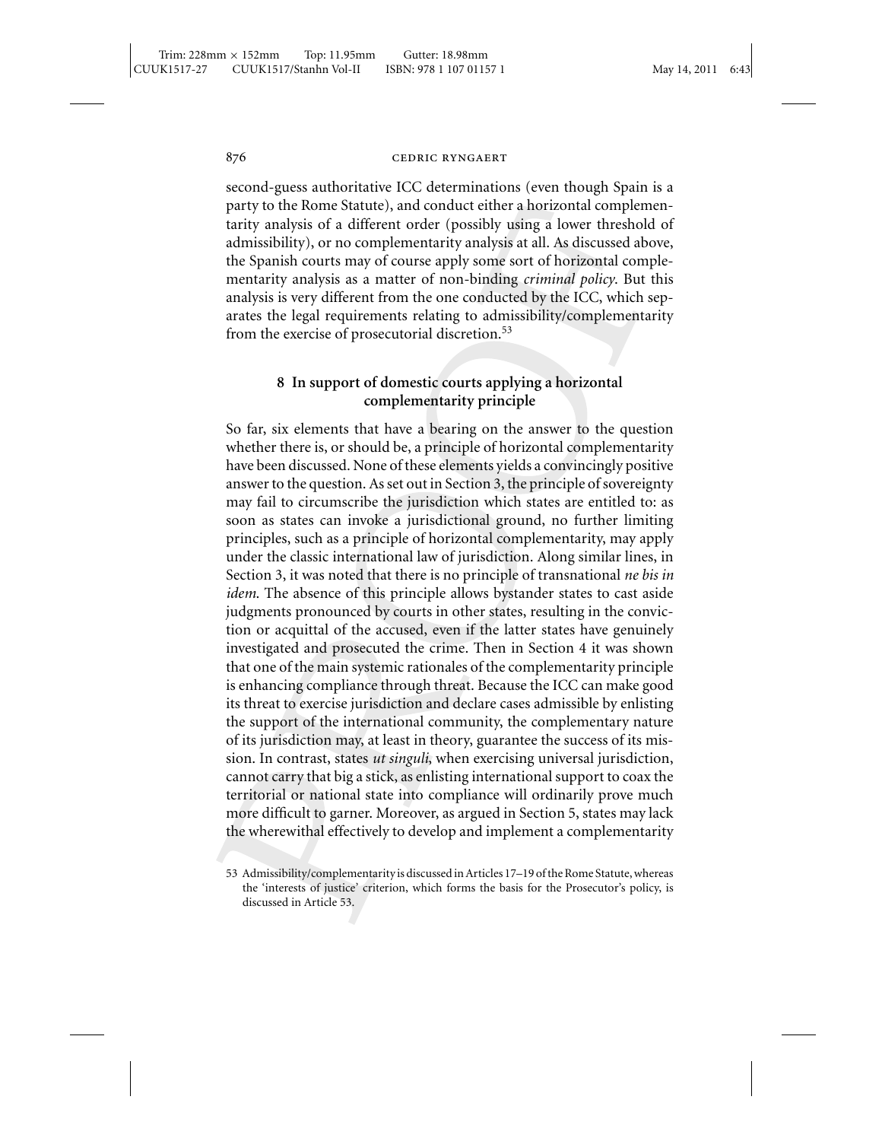second-guess authoritative ICC determinations (even though Spain is a party to the Rome Statute), and conduct either a horizontal complementarity analysis of a different order (possibly using a lower threshold of admissibility), or no complementarity analysis at all. As discussed above, the Spanish courts may of course apply some sort of horizontal complementarity analysis as a matter of non-binding *criminal policy*. But this analysis is very different from the one conducted by the ICC, which separates the legal requirements relating to admissibility/complementarity from the exercise of prosecutorial discretion.<sup>53</sup>

# **8 In support of domestic courts applying a horizontal complementarity principle**

So far, six elements that have a bearing on the answer to the question whether there is, or should be, a principle of horizontal complementarity have been discussed. None of these elements yields a convincingly positive answer to the question. As set out in Section 3, the principle of sovereignty may fail to circumscribe the jurisdiction which states are entitled to: as soon as states can invoke a jurisdictional ground, no further limiting principles, such as a principle of horizontal complementarity, may apply under the classic international law of jurisdiction. Along similar lines, in Section 3, it was noted that there is no principle of transnational *ne bis in idem*. The absence of this principle allows bystander states to cast aside judgments pronounced by courts in other states, resulting in the conviction or acquittal of the accused, even if the latter states have genuinely investigated and prosecuted the crime. Then in Section 4 it was shown that one of the main systemic rationales of the complementarity principle is enhancing compliance through threat. Because the ICC can make good its threat to exercise jurisdiction and declare cases admissible by enlisting the support of the international community, the complementary nature of its jurisdiction may, at least in theory, guarantee the success of its mission. In contrast, states *ut singuli*, when exercising universal jurisdiction, cannot carry that big a stick, as enlisting international support to coax the territorial or national state into compliance will ordinarily prove much more difficult to garner. Moreover, as argued in Section 5, states may lack the wherewithal effectively to develop and implement a complementarity

<sup>53</sup> Admissibility/complementarity is discussed in Articles 17–19 of the Rome Statute, whereas the 'interests of justice' criterion, which forms the basis for the Prosecutor's policy, is discussed in Article 53.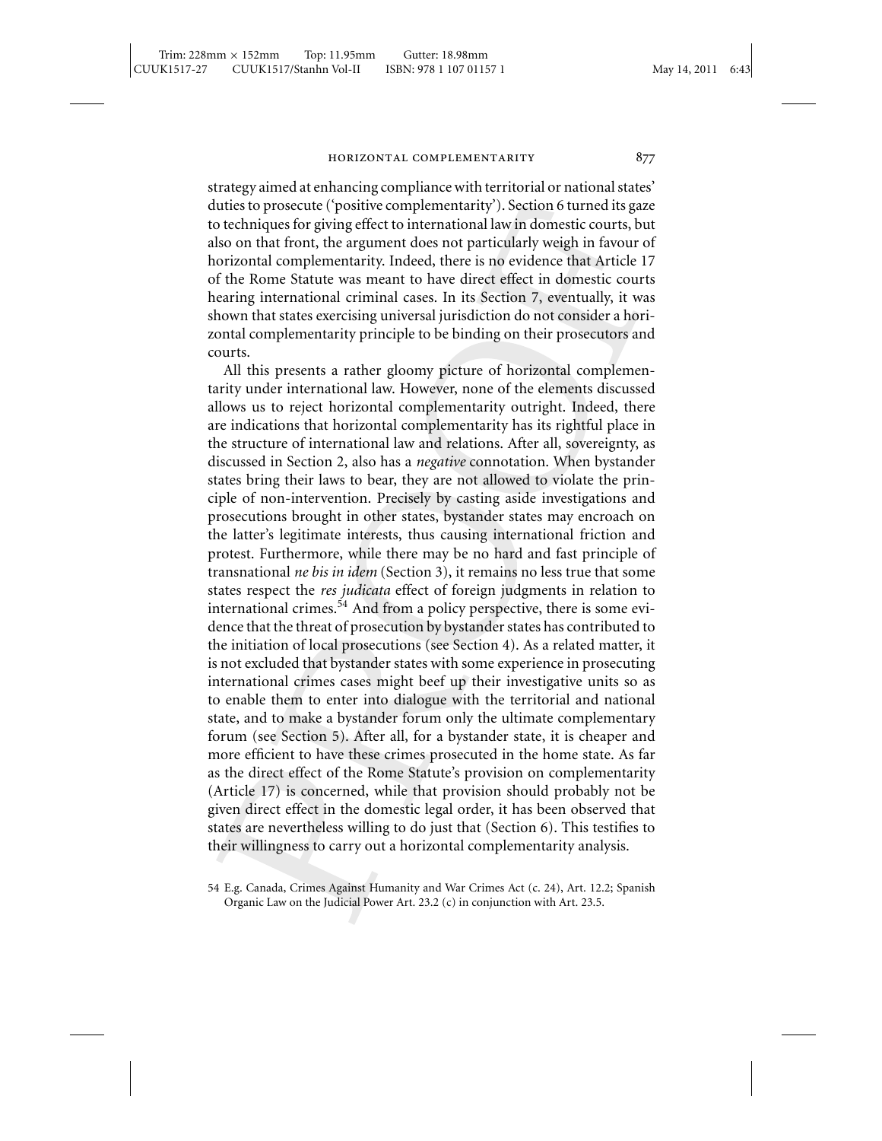strategy aimed at enhancing compliance with territorial or national states' duties to prosecute ('positive complementarity'). Section 6 turned its gaze to techniques for giving effect to international law in domestic courts, but also on that front, the argument does not particularly weigh in favour of horizontal complementarity. Indeed, there is no evidence that Article 17 of the Rome Statute was meant to have direct effect in domestic courts hearing international criminal cases. In its Section 7, eventually, it was shown that states exercising universal jurisdiction do not consider a horizontal complementarity principle to be binding on their prosecutors and courts.

All this presents a rather gloomy picture of horizontal complementarity under international law. However, none of the elements discussed allows us to reject horizontal complementarity outright. Indeed, there are indications that horizontal complementarity has its rightful place in the structure of international law and relations. After all, sovereignty, as discussed in Section 2, also has a *negative* connotation. When bystander states bring their laws to bear, they are not allowed to violate the principle of non-intervention. Precisely by casting aside investigations and prosecutions brought in other states, bystander states may encroach on the latter's legitimate interests, thus causing international friction and protest. Furthermore, while there may be no hard and fast principle of transnational *ne bis in idem* (Section 3), it remains no less true that some states respect the *res judicata* effect of foreign judgments in relation to international crimes.<sup>54</sup> And from a policy perspective, there is some evidence that the threat of prosecution by bystander states has contributed to the initiation of local prosecutions (see Section 4). As a related matter, it is not excluded that bystander states with some experience in prosecuting international crimes cases might beef up their investigative units so as to enable them to enter into dialogue with the territorial and national state, and to make a bystander forum only the ultimate complementary forum (see Section 5). After all, for a bystander state, it is cheaper and more efficient to have these crimes prosecuted in the home state. As far as the direct effect of the Rome Statute's provision on complementarity (Article 17) is concerned, while that provision should probably not be given direct effect in the domestic legal order, it has been observed that states are nevertheless willing to do just that (Section 6). This testifies to their willingness to carry out a horizontal complementarity analysis.

<sup>54</sup> E.g. Canada, Crimes Against Humanity and War Crimes Act (c. 24), Art. 12.2; Spanish Organic Law on the Judicial Power Art. 23.2 (c) in conjunction with Art. 23.5.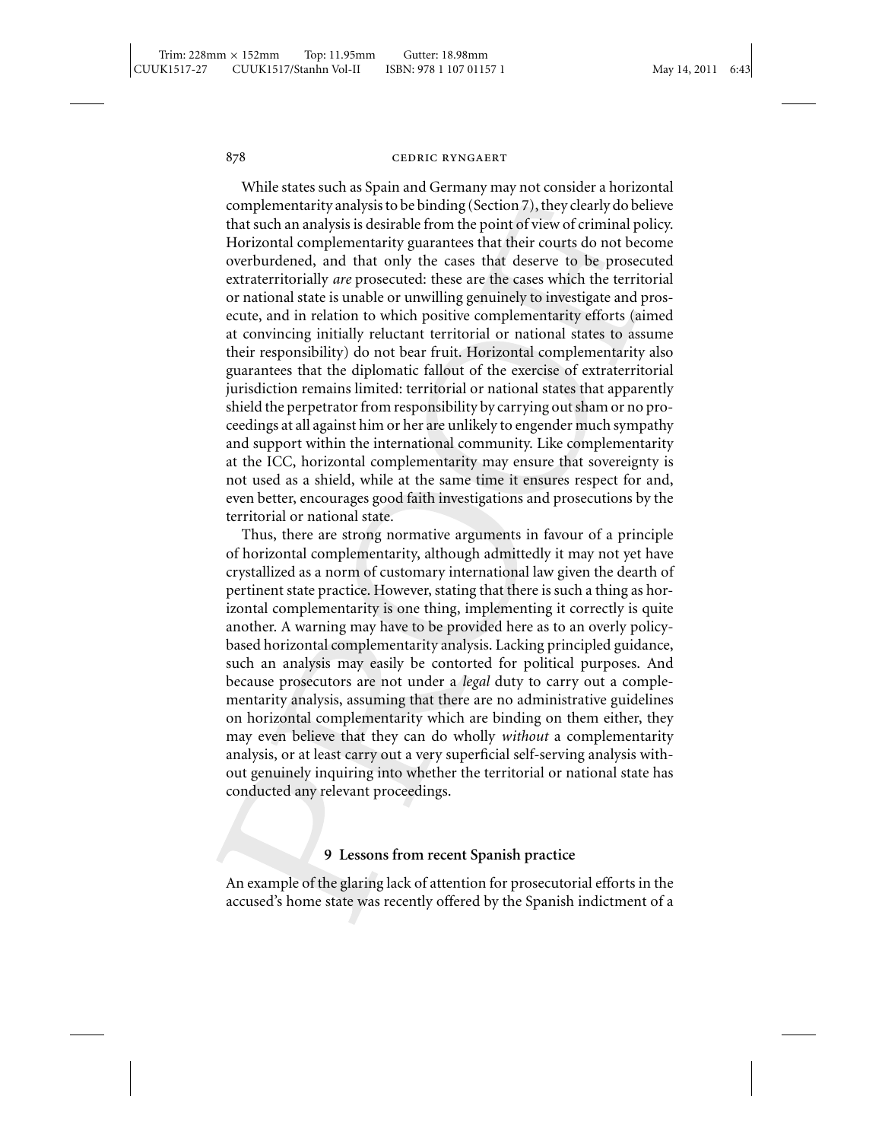While states such as Spain and Germany may not consider a horizontal complementarity analysis to be binding (Section 7), they clearly do believe that such an analysis is desirable from the point of view of criminal policy. Horizontal complementarity guarantees that their courts do not become overburdened, and that only the cases that deserve to be prosecuted extraterritorially *are* prosecuted: these are the cases which the territorial or national state is unable or unwilling genuinely to investigate and prosecute, and in relation to which positive complementarity efforts (aimed at convincing initially reluctant territorial or national states to assume their responsibility) do not bear fruit. Horizontal complementarity also guarantees that the diplomatic fallout of the exercise of extraterritorial jurisdiction remains limited: territorial or national states that apparently shield the perpetrator from responsibility by carrying out sham or no proceedings at all against him or her are unlikely to engender much sympathy and support within the international community. Like complementarity at the ICC, horizontal complementarity may ensure that sovereignty is not used as a shield, while at the same time it ensures respect for and, even better, encourages good faith investigations and prosecutions by the territorial or national state.

Thus, there are strong normative arguments in favour of a principle of horizontal complementarity, although admittedly it may not yet have crystallized as a norm of customary international law given the dearth of pertinent state practice. However, stating that there is such a thing as horizontal complementarity is one thing, implementing it correctly is quite another. A warning may have to be provided here as to an overly policybased horizontal complementarity analysis. Lacking principled guidance, such an analysis may easily be contorted for political purposes. And because prosecutors are not under a *legal* duty to carry out a complementarity analysis, assuming that there are no administrative guidelines on horizontal complementarity which are binding on them either, they may even believe that they can do wholly *without* a complementarity analysis, or at least carry out a very superficial self-serving analysis without genuinely inquiring into whether the territorial or national state has conducted any relevant proceedings.

### **9 Lessons from recent Spanish practice**

An example of the glaring lack of attention for prosecutorial efforts in the accused's home state was recently offered by the Spanish indictment of a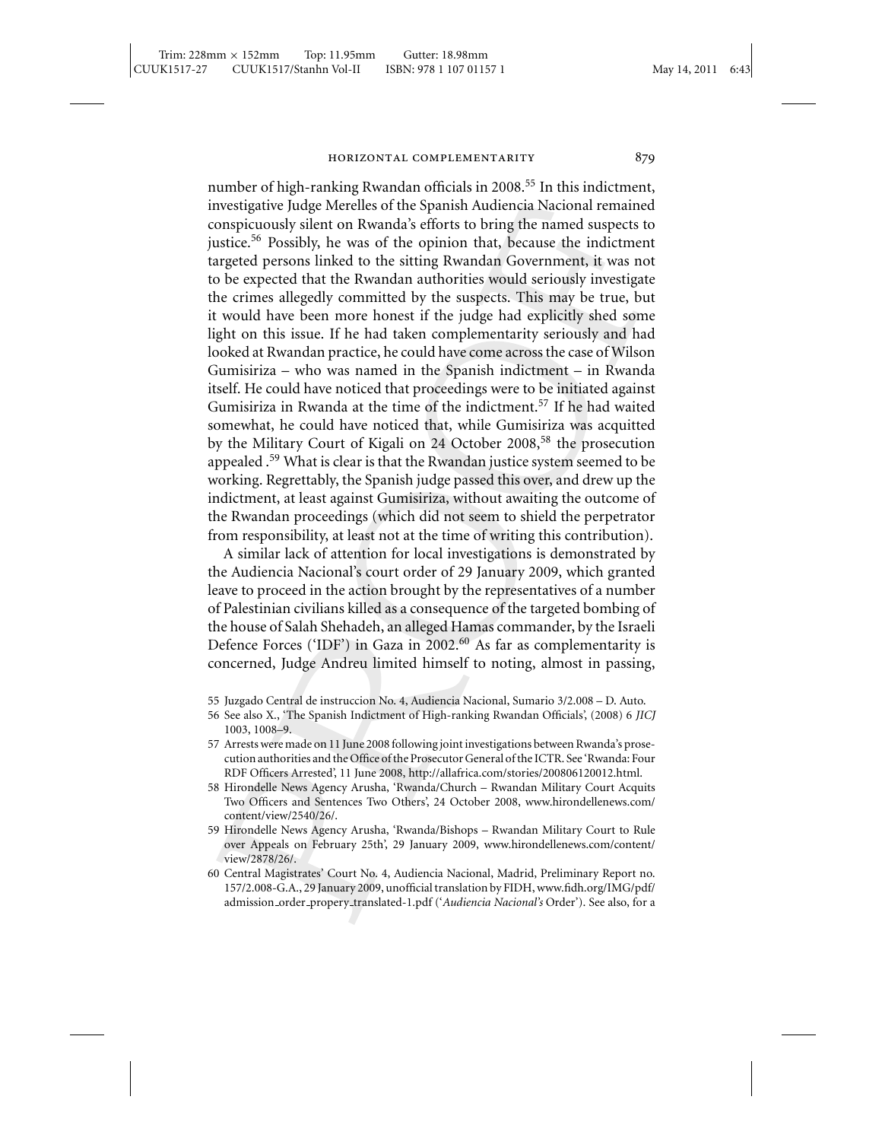number of high-ranking Rwandan officials in 2008.<sup>55</sup> In this indictment, investigative Judge Merelles of the Spanish Audiencia Nacional remained conspicuously silent on Rwanda's efforts to bring the named suspects to justice.<sup>56</sup> Possibly, he was of the opinion that, because the indictment targeted persons linked to the sitting Rwandan Government, it was not to be expected that the Rwandan authorities would seriously investigate the crimes allegedly committed by the suspects. This may be true, but it would have been more honest if the judge had explicitly shed some light on this issue. If he had taken complementarity seriously and had looked at Rwandan practice, he could have come across the case of Wilson Gumisiriza – who was named in the Spanish indictment – in Rwanda itself. He could have noticed that proceedings were to be initiated against Gumisiriza in Rwanda at the time of the indictment.<sup>57</sup> If he had waited somewhat, he could have noticed that, while Gumisiriza was acquitted by the Military Court of Kigali on 24 October 2008,<sup>58</sup> the prosecution appealed .<sup>59</sup> What is clear is that the Rwandan justice system seemed to be working. Regrettably, the Spanish judge passed this over, and drew up the indictment, at least against Gumisiriza, without awaiting the outcome of the Rwandan proceedings (which did not seem to shield the perpetrator from responsibility, at least not at the time of writing this contribution).

A similar lack of attention for local investigations is demonstrated by the Audiencia Nacional's court order of 29 January 2009, which granted leave to proceed in the action brought by the representatives of a number of Palestinian civilians killed as a consequence of the targeted bombing of the house of Salah Shehadeh, an alleged Hamas commander, by the Israeli Defence Forces ('IDF') in Gaza in 2002.<sup>60</sup> As far as complementarity is concerned, Judge Andreu limited himself to noting, almost in passing,

<sup>55</sup> Juzgado Central de instruccion No. 4, Audiencia Nacional, Sumario 3/2.008 – D. Auto.

<sup>56</sup> See also X., 'The Spanish Indictment of High-ranking Rwandan Officials', (2008) 6 *JICJ* 1003, 1008–9.

<sup>57</sup> Arrests were made on 11 June 2008 following joint investigations between Rwanda's prosecution authorities and the Office of the Prosecutor General of the ICTR. See 'Rwanda: Four RDF Officers Arrested', 11 June 2008, http://allafrica.com/stories/200806120012.html.

<sup>58</sup> Hirondelle News Agency Arusha, 'Rwanda/Church – Rwandan Military Court Acquits Two Officers and Sentences Two Others', 24 October 2008, www.hirondellenews.com/ content/view/2540/26/.

<sup>59</sup> Hirondelle News Agency Arusha, 'Rwanda/Bishops – Rwandan Military Court to Rule over Appeals on February 25th', 29 January 2009, www.hirondellenews.com/content/ view/2878/26/.

<sup>60</sup> Central Magistrates' Court No. 4, Audiencia Nacional, Madrid, Preliminary Report no. 157/2.008-G.A., 29 January 2009, unofficial translation by FIDH, www.fidh.org/IMG/pdf/ admission order propery translated-1.pdf ('*Audiencia Nacional's* Order'). See also, for a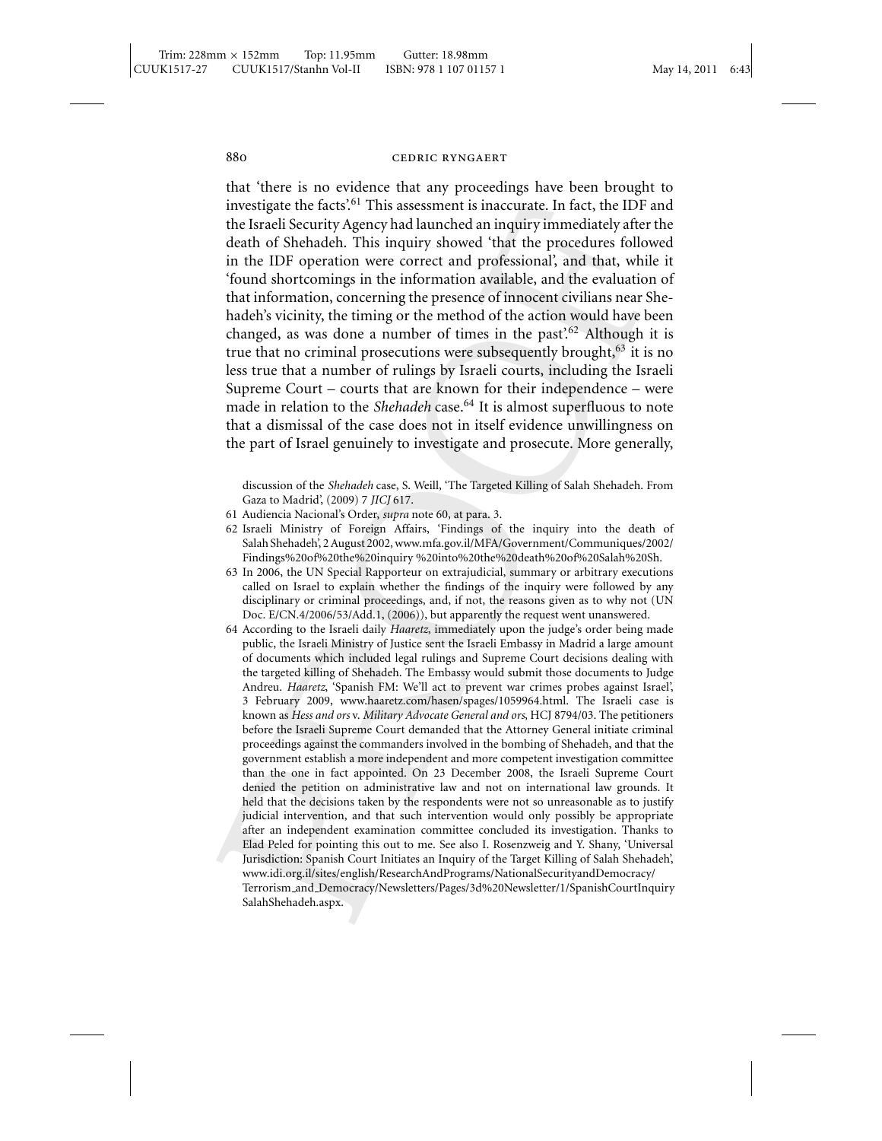that 'there is no evidence that any proceedings have been brought to investigate the facts'.<sup>61</sup> This assessment is inaccurate. In fact, the IDF and the Israeli Security Agency had launched an inquiry immediately after the death of Shehadeh. This inquiry showed 'that the procedures followed in the IDF operation were correct and professional', and that, while it 'found shortcomings in the information available, and the evaluation of that information, concerning the presence of innocent civilians near Shehadeh's vicinity, the timing or the method of the action would have been changed, as was done a number of times in the past<sup>762</sup> Although it is true that no criminal prosecutions were subsequently brought,  $63$  it is no less true that a number of rulings by Israeli courts, including the Israeli Supreme Court – courts that are known for their independence – were made in relation to the *Shehadeh* case.<sup>64</sup> It is almost superfluous to note that a dismissal of the case does not in itself evidence unwillingness on the part of Israel genuinely to investigate and prosecute. More generally,

discussion of the *Shehadeh* case, S. Weill, 'The Targeted Killing of Salah Shehadeh. From Gaza to Madrid', (2009) 7 *JICJ* 617.

- 61 Audiencia Nacional's Order, *supra* note 60, at para. 3.
- 62 Israeli Ministry of Foreign Affairs, 'Findings of the inquiry into the death of Salah Shehadeh', 2 August 2002, www.mfa.gov.il/MFA/Government/Communiques/2002/ Findings%20of%20the%20inquiry %20into%20the%20death%20of%20Salah%20Sh.
- 63 In 2006, the UN Special Rapporteur on extrajudicial, summary or arbitrary executions called on Israel to explain whether the findings of the inquiry were followed by any disciplinary or criminal proceedings, and, if not, the reasons given as to why not (UN Doc. E/CN.4/2006/53/Add.1, (2006)), but apparently the request went unanswered.
- 64 According to the Israeli daily *Haaretz*, immediately upon the judge's order being made public, the Israeli Ministry of Justice sent the Israeli Embassy in Madrid a large amount of documents which included legal rulings and Supreme Court decisions dealing with the targeted killing of Shehadeh. The Embassy would submit those documents to Judge Andreu. *Haaretz*, 'Spanish FM: We'll act to prevent war crimes probes against Israel', 3 February 2009, www.haaretz.com/hasen/spages/1059964.html. The Israeli case is known as *Hess and ors* v. *Military Advocate General and ors*, HCJ 8794/03. The petitioners before the Israeli Supreme Court demanded that the Attorney General initiate criminal proceedings against the commanders involved in the bombing of Shehadeh, and that the government establish a more independent and more competent investigation committee than the one in fact appointed. On 23 December 2008, the Israeli Supreme Court denied the petition on administrative law and not on international law grounds. It held that the decisions taken by the respondents were not so unreasonable as to justify judicial intervention, and that such intervention would only possibly be appropriate after an independent examination committee concluded its investigation. Thanks to Elad Peled for pointing this out to me. See also I. Rosenzweig and Y. Shany, 'Universal Jurisdiction: Spanish Court Initiates an Inquiry of the Target Killing of Salah Shehadeh', www.idi.org.il/sites/english/ResearchAndPrograms/NationalSecurityandDemocracy/ Terrorism and Democracy/Newsletters/Pages/3d%20Newsletter/1/SpanishCourtInquiry SalahShehadeh.aspx.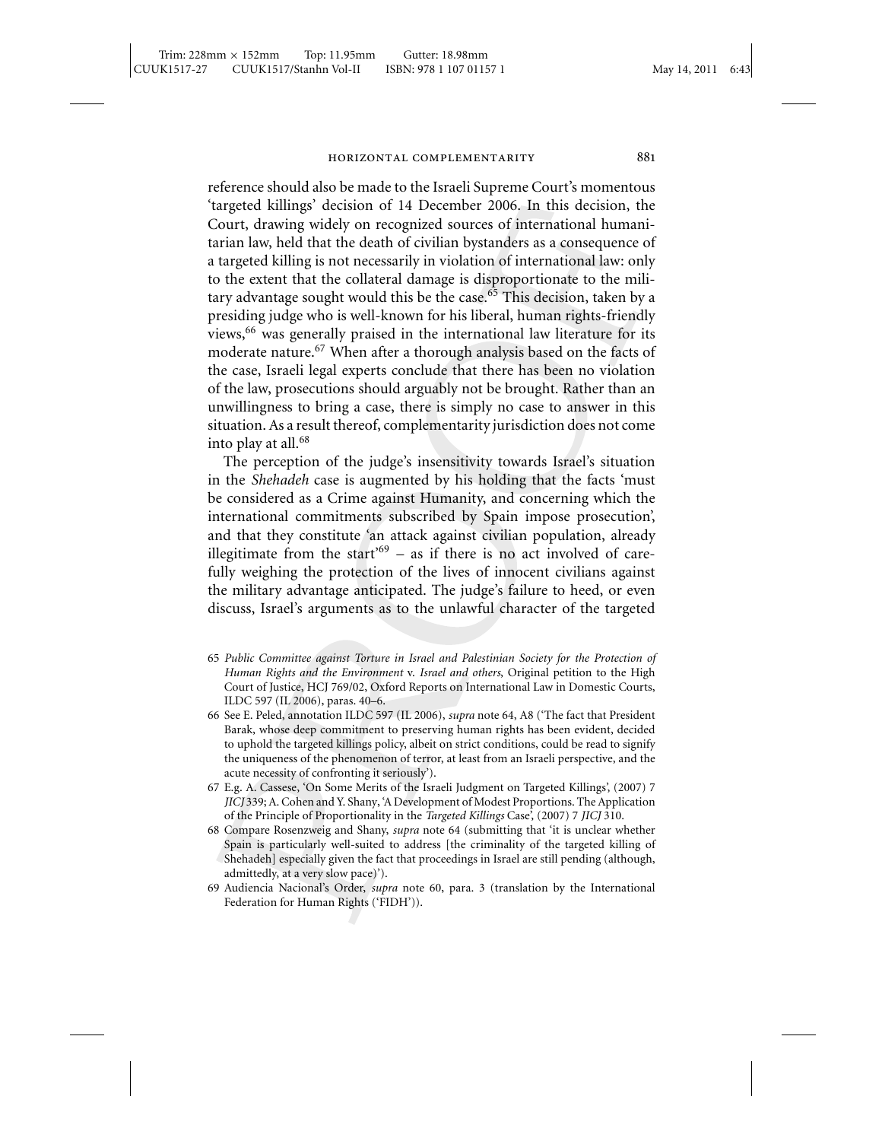reference should also be made to the Israeli Supreme Court's momentous 'targeted killings' decision of 14 December 2006. In this decision, the Court, drawing widely on recognized sources of international humanitarian law, held that the death of civilian bystanders as a consequence of a targeted killing is not necessarily in violation of international law: only to the extent that the collateral damage is disproportionate to the military advantage sought would this be the case.<sup>65</sup> This decision, taken by a presiding judge who is well-known for his liberal, human rights-friendly views,<sup>66</sup> was generally praised in the international law literature for its moderate nature.<sup>67</sup> When after a thorough analysis based on the facts of the case, Israeli legal experts conclude that there has been no violation of the law, prosecutions should arguably not be brought. Rather than an unwillingness to bring a case, there is simply no case to answer in this situation. As a result thereof, complementarity jurisdiction does not come into play at all.<sup>68</sup>

The perception of the judge's insensitivity towards Israel's situation in the *Shehadeh* case is augmented by his holding that the facts 'must be considered as a Crime against Humanity, and concerning which the international commitments subscribed by Spain impose prosecution', and that they constitute 'an attack against civilian population, already illegitimate from the start<sup> $69$ </sup> – as if there is no act involved of carefully weighing the protection of the lives of innocent civilians against the military advantage anticipated. The judge's failure to heed, or even discuss, Israel's arguments as to the unlawful character of the targeted

- 65 *Public Committee against Torture in Israel and Palestinian Society for the Protection of Human Rights and the Environment* v. *Israel and others*, Original petition to the High Court of Justice, HCJ 769/02, Oxford Reports on International Law in Domestic Courts, ILDC 597 (IL 2006), paras. 40–6.
- 66 See E. Peled, annotation ILDC 597 (IL 2006), *supra* note 64, A8 ('The fact that President Barak, whose deep commitment to preserving human rights has been evident, decided to uphold the targeted killings policy, albeit on strict conditions, could be read to signify the uniqueness of the phenomenon of terror, at least from an Israeli perspective, and the acute necessity of confronting it seriously').
- 67 E.g. A. Cassese, 'On Some Merits of the Israeli Judgment on Targeted Killings', (2007) 7 *JICJ* 339; A. Cohen and Y. Shany, 'A Development of Modest Proportions. The Application of the Principle of Proportionality in the *Targeted Killings* Case', (2007) 7 *JICJ* 310.
- 68 Compare Rosenzweig and Shany, *supra* note 64 (submitting that 'it is unclear whether Spain is particularly well-suited to address [the criminality of the targeted killing of Shehadeh] especially given the fact that proceedings in Israel are still pending (although, admittedly, at a very slow pace)').
- 69 Audiencia Nacional's Order, *supra* note 60, para. 3 (translation by the International Federation for Human Rights ('FIDH')).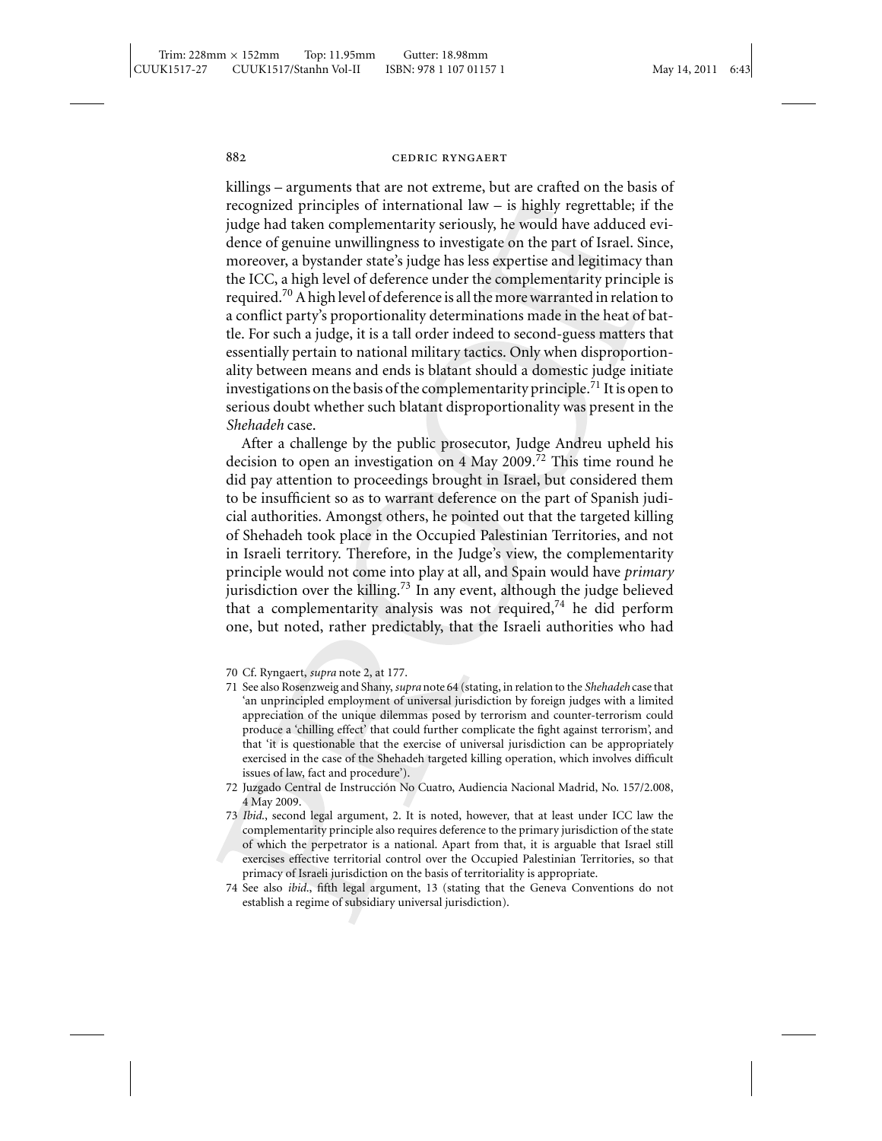killings – arguments that are not extreme, but are crafted on the basis of recognized principles of international law – is highly regrettable; if the judge had taken complementarity seriously, he would have adduced evidence of genuine unwillingness to investigate on the part of Israel. Since, moreover, a bystander state's judge has less expertise and legitimacy than the ICC, a high level of deference under the complementarity principle is required.<sup>70</sup> A high level of deference is all the more warranted in relation to a conflict party's proportionality determinations made in the heat of battle. For such a judge, it is a tall order indeed to second-guess matters that essentially pertain to national military tactics. Only when disproportionality between means and ends is blatant should a domestic judge initiate investigations on the basis of the complementarity principle.<sup>71</sup> It is open to serious doubt whether such blatant disproportionality was present in the *Shehadeh* case.

After a challenge by the public prosecutor, Judge Andreu upheld his decision to open an investigation on 4 May 2009.<sup>72</sup> This time round he did pay attention to proceedings brought in Israel, but considered them to be insufficient so as to warrant deference on the part of Spanish judicial authorities. Amongst others, he pointed out that the targeted killing of Shehadeh took place in the Occupied Palestinian Territories, and not in Israeli territory. Therefore, in the Judge's view, the complementarity principle would not come into play at all, and Spain would have *primary* jurisdiction over the killing.<sup>73</sup> In any event, although the judge believed that a complementarity analysis was not required, $74$  he did perform one, but noted, rather predictably, that the Israeli authorities who had

- 71 See also Rosenzweig and Shany, *supra* note 64 (stating, in relation to the *Shehadeh* case that 'an unprincipled employment of universal jurisdiction by foreign judges with a limited appreciation of the unique dilemmas posed by terrorism and counter-terrorism could produce a 'chilling effect' that could further complicate the fight against terrorism', and that 'it is questionable that the exercise of universal jurisdiction can be appropriately exercised in the case of the Shehadeh targeted killing operation, which involves difficult issues of law, fact and procedure').
- 72 Juzgado Central de Instruccion No Cuatro, Audiencia Nacional Madrid, No. 157/2.008, ´ 4 May 2009.
- 73 *Ibid*., second legal argument, 2. It is noted, however, that at least under ICC law the complementarity principle also requires deference to the primary jurisdiction of the state of which the perpetrator is a national. Apart from that, it is arguable that Israel still exercises effective territorial control over the Occupied Palestinian Territories, so that primacy of Israeli jurisdiction on the basis of territoriality is appropriate.
- 74 See also *ibid*., fifth legal argument, 13 (stating that the Geneva Conventions do not establish a regime of subsidiary universal jurisdiction).

<sup>70</sup> Cf. Ryngaert, *supra* note 2, at 177.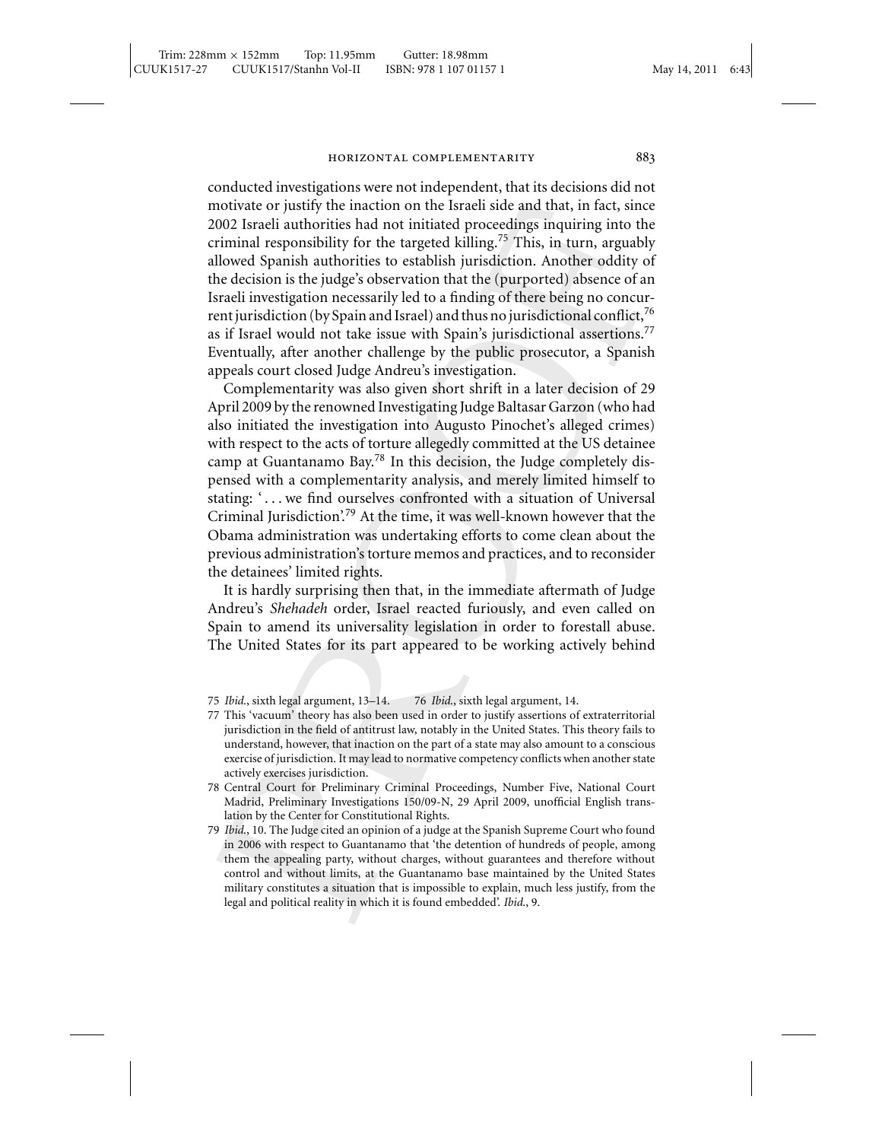conducted investigations were not independent, that its decisions did not motivate or justify the inaction on the Israeli side and that, in fact, since 2002 Israeli authorities had not initiated proceedings inquiring into the criminal responsibility for the targeted killing.<sup>75</sup> This, in turn, arguably allowed Spanish authorities to establish jurisdiction. Another oddity of the decision is the judge's observation that the (purported) absence of an Israeli investigation necessarily led to a finding of there being no concurrent jurisdiction (by Spain and Israel) and thus no jurisdictional conflict,<sup>76</sup> as if Israel would not take issue with Spain's jurisdictional assertions.<sup>77</sup> Eventually, after another challenge by the public prosecutor, a Spanish appeals court closed Judge Andreu's investigation.

Complementarity was also given short shrift in a later decision of 29 April 2009 by the renowned Investigating Judge Baltasar Garzon (who had also initiated the investigation into Augusto Pinochet's alleged crimes) with respect to the acts of torture allegedly committed at the US detainee camp at Guantanamo Bay.<sup>78</sup> In this decision, the Judge completely dispensed with a complementarity analysis, and merely limited himself to stating: '... we find ourselves confronted with a situation of Universal Criminal Jurisdiction'.<sup>79</sup> At the time, it was well-known however that the Obama administration was undertaking efforts to come clean about the previous administration's torture memos and practices, and to reconsider the detainees' limited rights.

It is hardly surprising then that, in the immediate aftermath of Judge Andreu's *Shehadeh* order, Israel reacted furiously, and even called on Spain to amend its universality legislation in order to forestall abuse. The United States for its part appeared to be working actively behind

- 77 This 'vacuum' theory has also been used in order to justify assertions of extraterritorial jurisdiction in the field of antitrust law, notably in the United States. This theory fails to understand, however, that inaction on the part of a state may also amount to a conscious exercise of jurisdiction. It may lead to normative competency conflicts when another state actively exercises jurisdiction.
- 78 Central Court for Preliminary Criminal Proceedings, Number Five, National Court Madrid, Preliminary Investigations 150/09-N, 29 April 2009, unofficial English translation by the Center for Constitutional Rights.
- 79 *Ibid*., 10. The Judge cited an opinion of a judge at the Spanish Supreme Court who found in 2006 with respect to Guantanamo that 'the detention of hundreds of people, among them the appealing party, without charges, without guarantees and therefore without control and without limits, at the Guantanamo base maintained by the United States military constitutes a situation that is impossible to explain, much less justify, from the legal and political reality in which it is found embedded'. *Ibid*., 9.

<sup>75</sup> *Ibid*., sixth legal argument, 13–14. 76 *Ibid*., sixth legal argument, 14.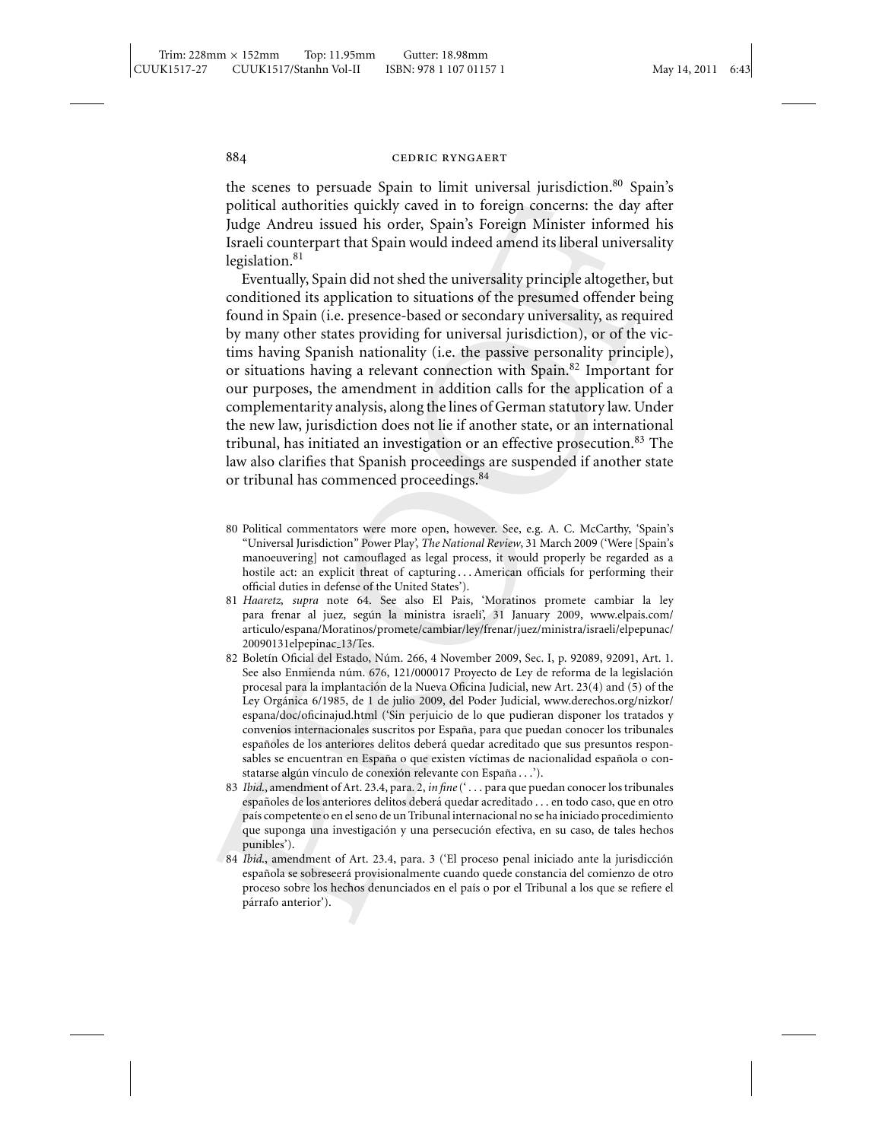the scenes to persuade Spain to limit universal jurisdiction.<sup>80</sup> Spain's political authorities quickly caved in to foreign concerns: the day after Judge Andreu issued his order, Spain's Foreign Minister informed his Israeli counterpart that Spain would indeed amend its liberal universality legislation. $81$ 

Eventually, Spain did not shed the universality principle altogether, but conditioned its application to situations of the presumed offender being found in Spain (i.e. presence-based or secondary universality, as required by many other states providing for universal jurisdiction), or of the victims having Spanish nationality (i.e. the passive personality principle), or situations having a relevant connection with Spain.<sup>82</sup> Important for our purposes, the amendment in addition calls for the application of a complementarity analysis, along the lines of German statutory law. Under the new law, jurisdiction does not lie if another state, or an international tribunal, has initiated an investigation or an effective prosecution.<sup>83</sup> The law also clarifies that Spanish proceedings are suspended if another state or tribunal has commenced proceedings.<sup>84</sup>

- 80 Political commentators were more open, however. See, e.g. A. C. McCarthy, 'Spain's "Universal Jurisdiction" Power Play', *The National Review*, 31 March 2009 ('Were [Spain's manoeuvering] not camouflaged as legal process, it would properly be regarded as a hostile act: an explicit threat of capturing . . . American officials for performing their official duties in defense of the United States').
- 81 *Haaretz*, *supra* note 64. See also El Pais, 'Moratinos promete cambiar la ley para frenar al juez, según la ministra israelí', 31 January 2009, www.elpais.com/ articulo/espana/Moratinos/promete/cambiar/ley/frenar/juez/ministra/israeli/elpepunac/ 20090131elpepinac 13/Tes.
- 82 Boletín Oficial del Estado, Núm. 266, 4 November 2009, Sec. I, p. 92089, 92091, Art. 1. See also Enmienda núm. 676, 121/000017 Proyecto de Ley de reforma de la legislación procesal para la implantacion de la Nueva Oficina Judicial, new Art. 23(4) and (5) of the ´ Ley Organica 6/1985, de 1 de julio 2009, del Poder Judicial, www.derechos.org/nizkor/ ´ espana/doc/oficinajud.html ('Sin perjuicio de lo que pudieran disponer los tratados y convenios internacionales suscritos por España, para que puedan conocer los tribunales españoles de los anteriores delitos deberá quedar acreditado que sus presuntos responsables se encuentran en España o que existen víctimas de nacionalidad española o constatarse algún vínculo de conexión relevante con España...').
- 83 *Ibid*., amendment of Art. 23.4, para. 2, *in fine*(' . . . para que puedan conocer los tribunales españoles de los anteriores delitos deberá quedar acreditado . . . en todo caso, que en otro pa´ıs competente o en el seno de un Tribunal internacional no se ha iniciado procedimiento que suponga una investigación y una persecución efectiva, en su caso, de tales hechos punibles').
- 84 *Ibid*., amendment of Art. 23.4, para. 3 ('El proceso penal iniciado ante la jurisdiccion´ española se sobreseerá provisionalmente cuando quede constancia del comienzo de otro proceso sobre los hechos denunciados en el país o por el Tribunal a los que se refiere el párrafo anterior').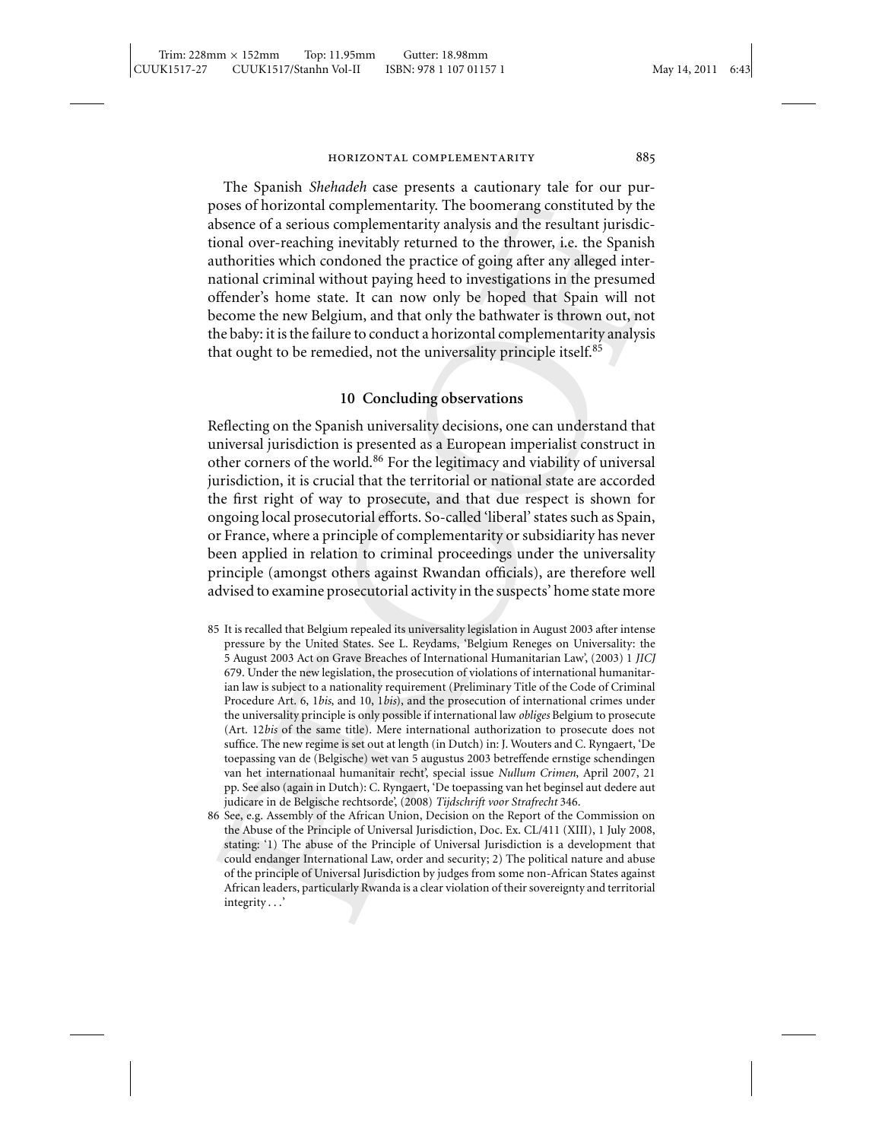The Spanish *Shehadeh* case presents a cautionary tale for our purposes of horizontal complementarity. The boomerang constituted by the absence of a serious complementarity analysis and the resultant jurisdictional over-reaching inevitably returned to the thrower, i.e. the Spanish authorities which condoned the practice of going after any alleged international criminal without paying heed to investigations in the presumed offender's home state. It can now only be hoped that Spain will not become the new Belgium, and that only the bathwater is thrown out, not the baby: it is the failure to conduct a horizontal complementarity analysis that ought to be remedied, not the universality principle itself.<sup>85</sup>

### **10 Concluding observations**

Reflecting on the Spanish universality decisions, one can understand that universal jurisdiction is presented as a European imperialist construct in other corners of the world.<sup>86</sup> For the legitimacy and viability of universal jurisdiction, it is crucial that the territorial or national state are accorded the first right of way to prosecute, and that due respect is shown for ongoing local prosecutorial efforts. So-called 'liberal' states such as Spain, or France, where a principle of complementarity or subsidiarity has never been applied in relation to criminal proceedings under the universality principle (amongst others against Rwandan officials), are therefore well advised to examine prosecutorial activity in the suspects' home state more

- 85 It is recalled that Belgium repealed its universality legislation in August 2003 after intense pressure by the United States. See L. Reydams, 'Belgium Reneges on Universality: the 5 August 2003 Act on Grave Breaches of International Humanitarian Law', (2003) 1 *JICJ* 679. Under the new legislation, the prosecution of violations of international humanitarian law is subject to a nationality requirement (Preliminary Title of the Code of Criminal Procedure Art. 6, 1*bis*, and 10, 1*bis*), and the prosecution of international crimes under the universality principle is only possible if international law *obliges* Belgium to prosecute (Art. 12*bis* of the same title). Mere international authorization to prosecute does not suffice. The new regime is set out at length (in Dutch) in: J. Wouters and C. Ryngaert, 'De toepassing van de (Belgische) wet van 5 augustus 2003 betreffende ernstige schendingen van het internationaal humanitair recht', special issue *Nullum Crimen*, April 2007, 21 pp. See also (again in Dutch): C. Ryngaert, 'De toepassing van het beginsel aut dedere aut judicare in de Belgische rechtsorde', (2008) *Tijdschrift voor Strafrecht* 346.
- 86 See, e.g. Assembly of the African Union, Decision on the Report of the Commission on the Abuse of the Principle of Universal Jurisdiction, Doc. Ex. CL/411 (XIII), 1 July 2008, stating: '1) The abuse of the Principle of Universal Jurisdiction is a development that could endanger International Law, order and security; 2) The political nature and abuse of the principle of Universal Jurisdiction by judges from some non-African States against African leaders, particularly Rwanda is a clear violation of their sovereignty and territorial integrity . . .'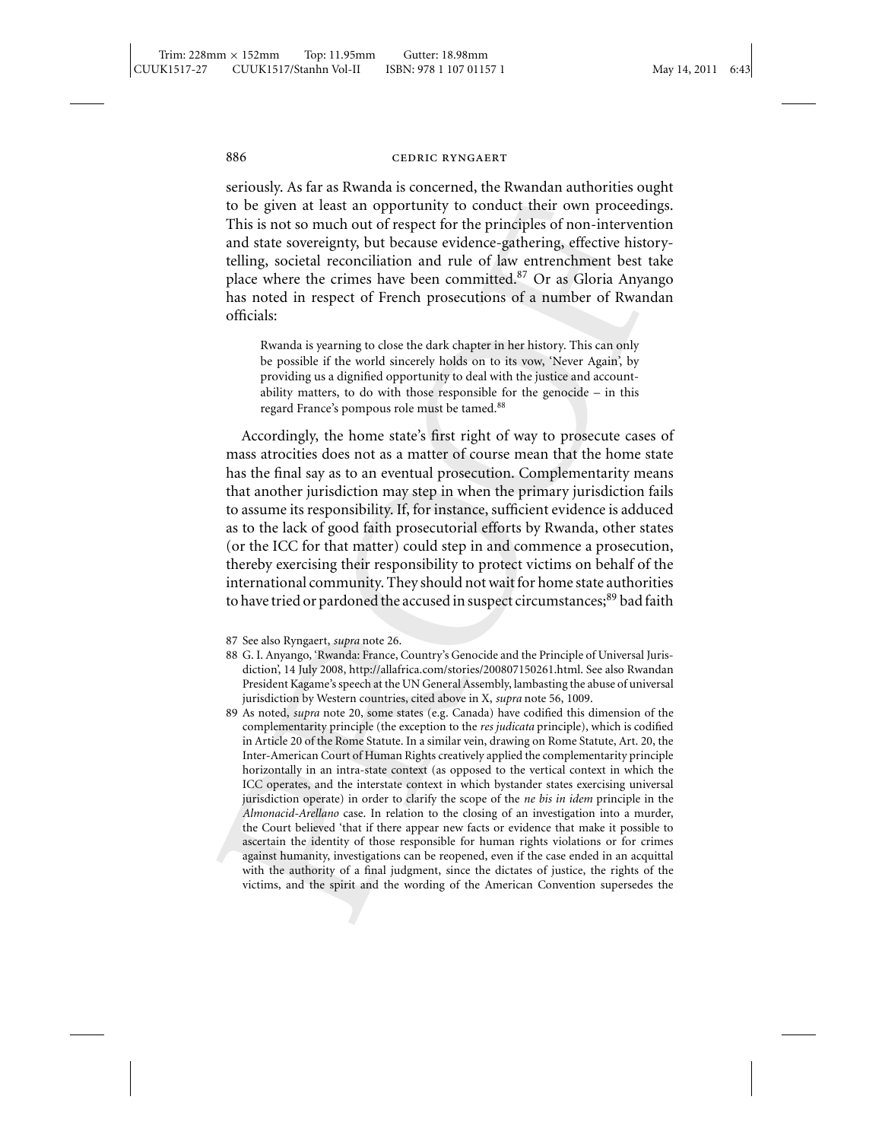seriously. As far as Rwanda is concerned, the Rwandan authorities ought to be given at least an opportunity to conduct their own proceedings. This is not so much out of respect for the principles of non-intervention and state sovereignty, but because evidence-gathering, effective historytelling, societal reconciliation and rule of law entrenchment best take place where the crimes have been committed.<sup>87</sup> Or as Gloria Anyango has noted in respect of French prosecutions of a number of Rwandan officials:

Rwanda is yearning to close the dark chapter in her history. This can only be possible if the world sincerely holds on to its vow, 'Never Again', by providing us a dignified opportunity to deal with the justice and accountability matters, to do with those responsible for the genocide – in this regard France's pompous role must be tamed.<sup>88</sup>

Accordingly, the home state's first right of way to prosecute cases of mass atrocities does not as a matter of course mean that the home state has the final say as to an eventual prosecution. Complementarity means that another jurisdiction may step in when the primary jurisdiction fails to assume its responsibility. If, for instance, sufficient evidence is adduced as to the lack of good faith prosecutorial efforts by Rwanda, other states (or the ICC for that matter) could step in and commence a prosecution, thereby exercising their responsibility to protect victims on behalf of the international community. They should not wait for home state authorities to have tried or pardoned the accused in suspect circumstances;<sup>89</sup> bad faith

- 88 G. I. Anyango, 'Rwanda: France, Country's Genocide and the Principle of Universal Jurisdiction', 14 July 2008, http://allafrica.com/stories/200807150261.html. See also Rwandan President Kagame's speech at the UN General Assembly, lambasting the abuse of universal jurisdiction by Western countries, cited above in X, *supra* note 56, 1009.
- 89 As noted, *supra* note 20, some states (e.g. Canada) have codified this dimension of the complementarity principle (the exception to the *res judicata* principle), which is codified in Article 20 of the Rome Statute. In a similar vein, drawing on Rome Statute, Art. 20, the Inter-American Court of Human Rights creatively applied the complementarity principle horizontally in an intra-state context (as opposed to the vertical context in which the ICC operates, and the interstate context in which bystander states exercising universal jurisdiction operate) in order to clarify the scope of the *ne bis in idem* principle in the *Almonacid-Arellano* case. In relation to the closing of an investigation into a murder, the Court believed 'that if there appear new facts or evidence that make it possible to ascertain the identity of those responsible for human rights violations or for crimes against humanity, investigations can be reopened, even if the case ended in an acquittal with the authority of a final judgment, since the dictates of justice, the rights of the victims, and the spirit and the wording of the American Convention supersedes the

<sup>87</sup> See also Ryngaert, *supra* note 26.